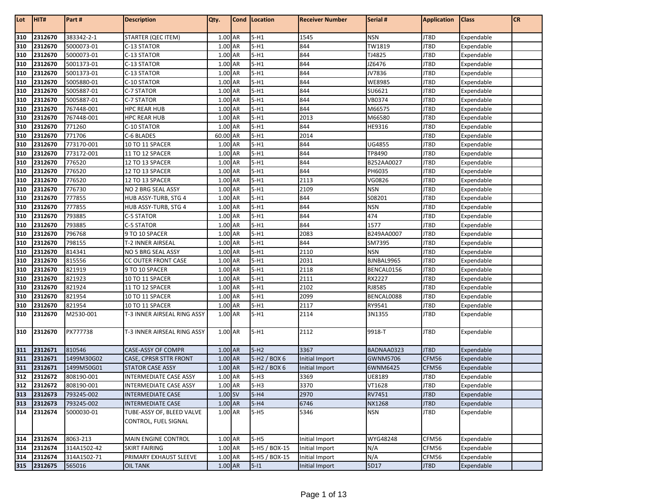| 310<br>383342-2-1<br>$5-H1$<br>1545<br><b>NSN</b><br>2312670<br><b>STARTER (QEC ITEM)</b><br>1.00 AR<br>JT8D<br>Expendable<br>310<br>$5-H1$<br>844<br>TW1819<br>JT8D<br>2312670<br>5000073-01<br>C-13 STATOR<br>1.00 AR<br>Expendable<br>310<br>1.00 AR<br>$5-H1$<br>844<br>TJ4825<br>2312670<br>5000073-01<br>C-13 STATOR<br>JT8D<br>Expendable<br>310<br>1.00 AR<br>$5-H1$<br>844<br>JZ6476<br>JT8D<br>2312670<br>5001373-01<br>C-13 STATOR<br>Expendable<br>310<br>$5-H1$<br>844<br>JV7836<br>JT8D<br>2312670<br>5001373-01<br>C-13 STATOR<br>1.00 AR<br>Expendable<br>310<br>$5-H1$<br>844<br><b>WE8985</b><br>2312670<br>5005880-01<br>C-10 STATOR<br>1.00 AR<br>JT8D<br>Expendable<br>310<br>$5-H1$<br>844<br>SU6621<br>JT8D<br>2312670<br>5005887-01<br>C-7 STATOR<br>1.00 AR<br>Expendable<br>310<br>$5-H1$<br>1.00 AR<br>844<br>VB0374<br>JT8D<br>2312670<br>5005887-01<br>C-7 STATOR<br>Expendable<br>310<br>$5-H1$<br>844<br>2312670<br>767448-001<br><b>HPC REAR HUB</b><br>1.00 AR<br>M66575<br>JT8D<br>Expendable<br>310<br>$5-H1$<br>2312670<br>767448-001<br>1.00 AR<br>2013<br>M66580<br>JT8D<br>HPC REAR HUB<br>Expendable<br>310<br>$5-H1$<br>844<br>2312670<br>771260<br>C-10 STATOR<br>HE9316<br>JT8D<br>1.00 AR<br>Expendable<br>310<br>$5-H1$<br>2014<br>2312670<br>771706<br>C-6 BLADES<br>60.00 AR<br>JT8D<br>Expendable<br>310<br>$5-H1$<br>844<br>UG4855<br>JT8D<br>2312670<br>773170-001<br>10 TO 11 SPACER<br>1.00 AR<br>Expendable<br>310<br>844<br>1.00 AR<br>$5-H1$<br>TP8490<br>JT8D<br>2312670<br>773172-001<br>11 TO 12 SPACER<br>Expendable<br>310<br>$5-H1$<br>844<br>776520<br>1.00 AR<br>B252AA0027<br>JT8D<br>2312670<br>12 TO 13 SPACER<br>Expendable<br>310<br>$5-H1$<br>844<br>2312670<br>776520<br>JT8D<br>12 TO 13 SPACER<br>1.00 AR<br>PH6035<br>Expendable<br>310<br>$5-H1$<br>2113<br>2312670<br>776520<br>12 TO 13 SPACER<br>1.00 AR<br>VG0826<br>JT8D<br>Expendable<br>310<br>$5-H1$<br>776730<br>NO 2 BRG SEAL ASSY<br>2109<br><b>NSN</b><br>JT8D<br>2312670<br>1.00 AR<br>Expendable<br>310<br>$5-H1$<br>844<br>2312670<br>777855<br>HUB ASSY-TURB, STG 4<br>1.00 AR<br>S08201<br>JT8D<br>Expendable<br>310<br>1.00 AR<br>$5-H1$<br>844<br>2312670<br>777855<br><b>NSN</b><br>JT8D<br>HUB ASSY-TURB, STG 4<br>Expendable<br>310<br>793885<br>$5-H1$<br>844<br>474<br>2312670<br>C-5 STATOR<br>1.00 AR<br>JT8D<br>Expendable<br>310<br>$5-H1$<br>793885<br>844<br>1577<br>JT8D<br>2312670<br>C-5 STATOR<br>1.00 AR<br>Expendable<br>310<br>$5-H1$<br>2083<br>2312670<br>796768<br>9 TO 10 SPACER<br>1.00 AR<br>B249AA0007<br>JT8D<br>Expendable<br>310<br>$5-H1$<br>844<br>798155<br>JT8D<br>2312670<br>T-2 INNER AIRSEAL<br>1.00 AR<br>SM7395<br>Expendable<br>310<br>$5-H1$<br>2110<br>2312670<br>814341<br>NO 5 BRG SEAL ASSY<br>1.00 AR<br><b>NSN</b><br>JT8D<br>Expendable<br>310<br>$5-H1$<br>2031<br>2312670<br>815556<br>CC OUTER FRONT CASE<br>1.00 AR<br>BJNBAL9965<br>JT8D<br>Expendable<br>310<br>$5-H1$<br>2118<br>2312670<br>821919<br>9 TO 10 SPACER<br>1.00 AR<br>BENCAL0156<br>JT8D<br>Expendable<br>310<br>$5-H1$<br>2111<br>821923<br>RX2227<br>2312670<br>10 TO 11 SPACER<br>1.00 AR<br>JT8D<br>Expendable<br>310<br>$5-H1$<br>2102<br>821924<br>1.00 AR<br>RJ8585<br>JT8D<br>2312670<br>11 TO 12 SPACER<br>Expendable<br>310<br>$5-H1$<br>2099<br>JT8D<br>2312670<br>821954<br>10 TO 11 SPACER<br>1.00 AR<br>BENCAL0088<br>Expendable<br>310<br>1.00 AR<br>$5-H1$<br>2117<br>2312670<br>821954<br>10 TO 11 SPACER<br>RY9541<br>JT8D<br>Expendable<br>310<br>$5-H1$<br>2114<br>M2530-001<br>T-3 INNER AIRSEAL RING ASSY<br>1.00 AR<br>3N1355<br>JT8D<br>2312670<br>Expendable<br>310<br>$5-H1$<br>2112<br>9918-T<br>2312670<br>PX777738<br>T-3 INNER AIRSEAL RING ASSY<br>1.00 AR<br>JT8D<br>Expendable<br>311<br>1.00 AR<br>$5-H2$<br>3367<br>JT8D<br>2312671<br>810546<br>CASE-ASSY OF COMPR<br>BADNAA0323<br>Expendable<br>311<br>1.00 AR<br>5-H2 / BOX 6<br>CFM56<br>2312671<br>1499M30G02<br>CASE, CPRSR STTR FRONT<br>Initial Import<br>GWNM5706<br>Expendable<br>311<br>2312671<br><b>STATOR CASE ASSY</b><br>1.00 AR<br>5-H2 / BOX 6<br>6WNM6425<br>CFM56<br>Expendable<br>1499M50G01<br>Initial Import<br>312<br>2312672<br>3369<br>UE8189<br>808190-001<br><b>INTERMEDIATE CASE ASSY</b><br>1.00 AR<br>$5-H3$<br>JT8D<br>Expendable<br>808190-001<br>1.00 AR<br>$5-H3$<br>3370<br>VT1628<br>JT8D<br>Expendable<br>INTERMEDIATE CASE ASSY<br>2312673<br>793245-002<br>1.00 SV<br>$5-H4$<br>2970<br>RV7451<br>JT8D<br>Expendable<br><b>INTERMEDIATE CASE</b><br>313<br>2312673<br>793245-002<br>1.00 AR<br>$5-H4$<br>6746<br><b>NX1268</b><br>Expendable<br><b>INTERMEDIATE CASE</b><br>JT8D<br>TUBE-ASSY OF, BLEED VALVE<br>1.00 AR<br>$5-H5$<br>5346<br>5000030-01<br><b>NSN</b><br>JT8D<br>Expendable<br>CONTROL, FUEL SIGNAL<br>314<br>$5-H5$<br>2312674<br>8063-213<br>1.00 AR<br>WYG48248<br>CFM56<br>Expendable<br>MAIN ENGINE CONTROL<br>Initial Import<br>314<br>5-H5 / BOX-15<br>2312674<br>314A1502-42<br><b>SKIRT FAIRING</b><br>1.00 AR<br>Initial Import<br>CFM56<br>Expendable<br>N/A<br>314<br>N/A<br>2312674<br>314A1502-71<br>PRIMARY EXHAUST SLEEVE<br>1.00 AR<br>5-H5 / BOX-15<br>Initial Import<br>Expendable<br>CFM56<br>315 2312675<br>1.00 AR | Lot | HIT# | Part#  | <b>Description</b> | Qty. | Cond   Location | <b>Receiver Number</b> | Serial # | <b>Application</b> | <b>Class</b> | CR |
|------------------------------------------------------------------------------------------------------------------------------------------------------------------------------------------------------------------------------------------------------------------------------------------------------------------------------------------------------------------------------------------------------------------------------------------------------------------------------------------------------------------------------------------------------------------------------------------------------------------------------------------------------------------------------------------------------------------------------------------------------------------------------------------------------------------------------------------------------------------------------------------------------------------------------------------------------------------------------------------------------------------------------------------------------------------------------------------------------------------------------------------------------------------------------------------------------------------------------------------------------------------------------------------------------------------------------------------------------------------------------------------------------------------------------------------------------------------------------------------------------------------------------------------------------------------------------------------------------------------------------------------------------------------------------------------------------------------------------------------------------------------------------------------------------------------------------------------------------------------------------------------------------------------------------------------------------------------------------------------------------------------------------------------------------------------------------------------------------------------------------------------------------------------------------------------------------------------------------------------------------------------------------------------------------------------------------------------------------------------------------------------------------------------------------------------------------------------------------------------------------------------------------------------------------------------------------------------------------------------------------------------------------------------------------------------------------------------------------------------------------------------------------------------------------------------------------------------------------------------------------------------------------------------------------------------------------------------------------------------------------------------------------------------------------------------------------------------------------------------------------------------------------------------------------------------------------------------------------------------------------------------------------------------------------------------------------------------------------------------------------------------------------------------------------------------------------------------------------------------------------------------------------------------------------------------------------------------------------------------------------------------------------------------------------------------------------------------------------------------------------------------------------------------------------------------------------------------------------------------------------------------------------------------------------------------------------------------------------------------------------------------------------------------------------------------------------------------------------------------------------------------------------------------------------------------------------------------------------------------------------------------------------------------------------------------------------------------------------------------------------------------------------------------------------------------------------------------------------------------------------------------------------------------------------------------------------------------------------------------------------------------------------------------------------------------------------------------------------------------------------------------------------------------------------------------------------------------------------------------------------------------------------------------------------------------------------------------------------------------------------------------------------------------------------------------------------------------------------------------------------------------------------------------------------------------------------------------------------------------------------|-----|------|--------|--------------------|------|-----------------|------------------------|----------|--------------------|--------------|----|
|                                                                                                                                                                                                                                                                                                                                                                                                                                                                                                                                                                                                                                                                                                                                                                                                                                                                                                                                                                                                                                                                                                                                                                                                                                                                                                                                                                                                                                                                                                                                                                                                                                                                                                                                                                                                                                                                                                                                                                                                                                                                                                                                                                                                                                                                                                                                                                                                                                                                                                                                                                                                                                                                                                                                                                                                                                                                                                                                                                                                                                                                                                                                                                                                                                                                                                                                                                                                                                                                                                                                                                                                                                                                                                                                                                                                                                                                                                                                                                                                                                                                                                                                                                                                                                                                                                                                                                                                                                                                                                                                                                                                                                                                                                                                                                                                                                                                                                                                                                                                                                                                                                                                                                                                                                                      |     |      |        |                    |      |                 |                        |          |                    |              |    |
|                                                                                                                                                                                                                                                                                                                                                                                                                                                                                                                                                                                                                                                                                                                                                                                                                                                                                                                                                                                                                                                                                                                                                                                                                                                                                                                                                                                                                                                                                                                                                                                                                                                                                                                                                                                                                                                                                                                                                                                                                                                                                                                                                                                                                                                                                                                                                                                                                                                                                                                                                                                                                                                                                                                                                                                                                                                                                                                                                                                                                                                                                                                                                                                                                                                                                                                                                                                                                                                                                                                                                                                                                                                                                                                                                                                                                                                                                                                                                                                                                                                                                                                                                                                                                                                                                                                                                                                                                                                                                                                                                                                                                                                                                                                                                                                                                                                                                                                                                                                                                                                                                                                                                                                                                                                      |     |      |        |                    |      |                 |                        |          |                    |              |    |
|                                                                                                                                                                                                                                                                                                                                                                                                                                                                                                                                                                                                                                                                                                                                                                                                                                                                                                                                                                                                                                                                                                                                                                                                                                                                                                                                                                                                                                                                                                                                                                                                                                                                                                                                                                                                                                                                                                                                                                                                                                                                                                                                                                                                                                                                                                                                                                                                                                                                                                                                                                                                                                                                                                                                                                                                                                                                                                                                                                                                                                                                                                                                                                                                                                                                                                                                                                                                                                                                                                                                                                                                                                                                                                                                                                                                                                                                                                                                                                                                                                                                                                                                                                                                                                                                                                                                                                                                                                                                                                                                                                                                                                                                                                                                                                                                                                                                                                                                                                                                                                                                                                                                                                                                                                                      |     |      |        |                    |      |                 |                        |          |                    |              |    |
|                                                                                                                                                                                                                                                                                                                                                                                                                                                                                                                                                                                                                                                                                                                                                                                                                                                                                                                                                                                                                                                                                                                                                                                                                                                                                                                                                                                                                                                                                                                                                                                                                                                                                                                                                                                                                                                                                                                                                                                                                                                                                                                                                                                                                                                                                                                                                                                                                                                                                                                                                                                                                                                                                                                                                                                                                                                                                                                                                                                                                                                                                                                                                                                                                                                                                                                                                                                                                                                                                                                                                                                                                                                                                                                                                                                                                                                                                                                                                                                                                                                                                                                                                                                                                                                                                                                                                                                                                                                                                                                                                                                                                                                                                                                                                                                                                                                                                                                                                                                                                                                                                                                                                                                                                                                      |     |      |        |                    |      |                 |                        |          |                    |              |    |
|                                                                                                                                                                                                                                                                                                                                                                                                                                                                                                                                                                                                                                                                                                                                                                                                                                                                                                                                                                                                                                                                                                                                                                                                                                                                                                                                                                                                                                                                                                                                                                                                                                                                                                                                                                                                                                                                                                                                                                                                                                                                                                                                                                                                                                                                                                                                                                                                                                                                                                                                                                                                                                                                                                                                                                                                                                                                                                                                                                                                                                                                                                                                                                                                                                                                                                                                                                                                                                                                                                                                                                                                                                                                                                                                                                                                                                                                                                                                                                                                                                                                                                                                                                                                                                                                                                                                                                                                                                                                                                                                                                                                                                                                                                                                                                                                                                                                                                                                                                                                                                                                                                                                                                                                                                                      |     |      |        |                    |      |                 |                        |          |                    |              |    |
|                                                                                                                                                                                                                                                                                                                                                                                                                                                                                                                                                                                                                                                                                                                                                                                                                                                                                                                                                                                                                                                                                                                                                                                                                                                                                                                                                                                                                                                                                                                                                                                                                                                                                                                                                                                                                                                                                                                                                                                                                                                                                                                                                                                                                                                                                                                                                                                                                                                                                                                                                                                                                                                                                                                                                                                                                                                                                                                                                                                                                                                                                                                                                                                                                                                                                                                                                                                                                                                                                                                                                                                                                                                                                                                                                                                                                                                                                                                                                                                                                                                                                                                                                                                                                                                                                                                                                                                                                                                                                                                                                                                                                                                                                                                                                                                                                                                                                                                                                                                                                                                                                                                                                                                                                                                      |     |      |        |                    |      |                 |                        |          |                    |              |    |
|                                                                                                                                                                                                                                                                                                                                                                                                                                                                                                                                                                                                                                                                                                                                                                                                                                                                                                                                                                                                                                                                                                                                                                                                                                                                                                                                                                                                                                                                                                                                                                                                                                                                                                                                                                                                                                                                                                                                                                                                                                                                                                                                                                                                                                                                                                                                                                                                                                                                                                                                                                                                                                                                                                                                                                                                                                                                                                                                                                                                                                                                                                                                                                                                                                                                                                                                                                                                                                                                                                                                                                                                                                                                                                                                                                                                                                                                                                                                                                                                                                                                                                                                                                                                                                                                                                                                                                                                                                                                                                                                                                                                                                                                                                                                                                                                                                                                                                                                                                                                                                                                                                                                                                                                                                                      |     |      |        |                    |      |                 |                        |          |                    |              |    |
|                                                                                                                                                                                                                                                                                                                                                                                                                                                                                                                                                                                                                                                                                                                                                                                                                                                                                                                                                                                                                                                                                                                                                                                                                                                                                                                                                                                                                                                                                                                                                                                                                                                                                                                                                                                                                                                                                                                                                                                                                                                                                                                                                                                                                                                                                                                                                                                                                                                                                                                                                                                                                                                                                                                                                                                                                                                                                                                                                                                                                                                                                                                                                                                                                                                                                                                                                                                                                                                                                                                                                                                                                                                                                                                                                                                                                                                                                                                                                                                                                                                                                                                                                                                                                                                                                                                                                                                                                                                                                                                                                                                                                                                                                                                                                                                                                                                                                                                                                                                                                                                                                                                                                                                                                                                      |     |      |        |                    |      |                 |                        |          |                    |              |    |
|                                                                                                                                                                                                                                                                                                                                                                                                                                                                                                                                                                                                                                                                                                                                                                                                                                                                                                                                                                                                                                                                                                                                                                                                                                                                                                                                                                                                                                                                                                                                                                                                                                                                                                                                                                                                                                                                                                                                                                                                                                                                                                                                                                                                                                                                                                                                                                                                                                                                                                                                                                                                                                                                                                                                                                                                                                                                                                                                                                                                                                                                                                                                                                                                                                                                                                                                                                                                                                                                                                                                                                                                                                                                                                                                                                                                                                                                                                                                                                                                                                                                                                                                                                                                                                                                                                                                                                                                                                                                                                                                                                                                                                                                                                                                                                                                                                                                                                                                                                                                                                                                                                                                                                                                                                                      |     |      |        |                    |      |                 |                        |          |                    |              |    |
|                                                                                                                                                                                                                                                                                                                                                                                                                                                                                                                                                                                                                                                                                                                                                                                                                                                                                                                                                                                                                                                                                                                                                                                                                                                                                                                                                                                                                                                                                                                                                                                                                                                                                                                                                                                                                                                                                                                                                                                                                                                                                                                                                                                                                                                                                                                                                                                                                                                                                                                                                                                                                                                                                                                                                                                                                                                                                                                                                                                                                                                                                                                                                                                                                                                                                                                                                                                                                                                                                                                                                                                                                                                                                                                                                                                                                                                                                                                                                                                                                                                                                                                                                                                                                                                                                                                                                                                                                                                                                                                                                                                                                                                                                                                                                                                                                                                                                                                                                                                                                                                                                                                                                                                                                                                      |     |      |        |                    |      |                 |                        |          |                    |              |    |
|                                                                                                                                                                                                                                                                                                                                                                                                                                                                                                                                                                                                                                                                                                                                                                                                                                                                                                                                                                                                                                                                                                                                                                                                                                                                                                                                                                                                                                                                                                                                                                                                                                                                                                                                                                                                                                                                                                                                                                                                                                                                                                                                                                                                                                                                                                                                                                                                                                                                                                                                                                                                                                                                                                                                                                                                                                                                                                                                                                                                                                                                                                                                                                                                                                                                                                                                                                                                                                                                                                                                                                                                                                                                                                                                                                                                                                                                                                                                                                                                                                                                                                                                                                                                                                                                                                                                                                                                                                                                                                                                                                                                                                                                                                                                                                                                                                                                                                                                                                                                                                                                                                                                                                                                                                                      |     |      |        |                    |      |                 |                        |          |                    |              |    |
|                                                                                                                                                                                                                                                                                                                                                                                                                                                                                                                                                                                                                                                                                                                                                                                                                                                                                                                                                                                                                                                                                                                                                                                                                                                                                                                                                                                                                                                                                                                                                                                                                                                                                                                                                                                                                                                                                                                                                                                                                                                                                                                                                                                                                                                                                                                                                                                                                                                                                                                                                                                                                                                                                                                                                                                                                                                                                                                                                                                                                                                                                                                                                                                                                                                                                                                                                                                                                                                                                                                                                                                                                                                                                                                                                                                                                                                                                                                                                                                                                                                                                                                                                                                                                                                                                                                                                                                                                                                                                                                                                                                                                                                                                                                                                                                                                                                                                                                                                                                                                                                                                                                                                                                                                                                      |     |      |        |                    |      |                 |                        |          |                    |              |    |
|                                                                                                                                                                                                                                                                                                                                                                                                                                                                                                                                                                                                                                                                                                                                                                                                                                                                                                                                                                                                                                                                                                                                                                                                                                                                                                                                                                                                                                                                                                                                                                                                                                                                                                                                                                                                                                                                                                                                                                                                                                                                                                                                                                                                                                                                                                                                                                                                                                                                                                                                                                                                                                                                                                                                                                                                                                                                                                                                                                                                                                                                                                                                                                                                                                                                                                                                                                                                                                                                                                                                                                                                                                                                                                                                                                                                                                                                                                                                                                                                                                                                                                                                                                                                                                                                                                                                                                                                                                                                                                                                                                                                                                                                                                                                                                                                                                                                                                                                                                                                                                                                                                                                                                                                                                                      |     |      |        |                    |      |                 |                        |          |                    |              |    |
|                                                                                                                                                                                                                                                                                                                                                                                                                                                                                                                                                                                                                                                                                                                                                                                                                                                                                                                                                                                                                                                                                                                                                                                                                                                                                                                                                                                                                                                                                                                                                                                                                                                                                                                                                                                                                                                                                                                                                                                                                                                                                                                                                                                                                                                                                                                                                                                                                                                                                                                                                                                                                                                                                                                                                                                                                                                                                                                                                                                                                                                                                                                                                                                                                                                                                                                                                                                                                                                                                                                                                                                                                                                                                                                                                                                                                                                                                                                                                                                                                                                                                                                                                                                                                                                                                                                                                                                                                                                                                                                                                                                                                                                                                                                                                                                                                                                                                                                                                                                                                                                                                                                                                                                                                                                      |     |      |        |                    |      |                 |                        |          |                    |              |    |
|                                                                                                                                                                                                                                                                                                                                                                                                                                                                                                                                                                                                                                                                                                                                                                                                                                                                                                                                                                                                                                                                                                                                                                                                                                                                                                                                                                                                                                                                                                                                                                                                                                                                                                                                                                                                                                                                                                                                                                                                                                                                                                                                                                                                                                                                                                                                                                                                                                                                                                                                                                                                                                                                                                                                                                                                                                                                                                                                                                                                                                                                                                                                                                                                                                                                                                                                                                                                                                                                                                                                                                                                                                                                                                                                                                                                                                                                                                                                                                                                                                                                                                                                                                                                                                                                                                                                                                                                                                                                                                                                                                                                                                                                                                                                                                                                                                                                                                                                                                                                                                                                                                                                                                                                                                                      |     |      |        |                    |      |                 |                        |          |                    |              |    |
|                                                                                                                                                                                                                                                                                                                                                                                                                                                                                                                                                                                                                                                                                                                                                                                                                                                                                                                                                                                                                                                                                                                                                                                                                                                                                                                                                                                                                                                                                                                                                                                                                                                                                                                                                                                                                                                                                                                                                                                                                                                                                                                                                                                                                                                                                                                                                                                                                                                                                                                                                                                                                                                                                                                                                                                                                                                                                                                                                                                                                                                                                                                                                                                                                                                                                                                                                                                                                                                                                                                                                                                                                                                                                                                                                                                                                                                                                                                                                                                                                                                                                                                                                                                                                                                                                                                                                                                                                                                                                                                                                                                                                                                                                                                                                                                                                                                                                                                                                                                                                                                                                                                                                                                                                                                      |     |      |        |                    |      |                 |                        |          |                    |              |    |
|                                                                                                                                                                                                                                                                                                                                                                                                                                                                                                                                                                                                                                                                                                                                                                                                                                                                                                                                                                                                                                                                                                                                                                                                                                                                                                                                                                                                                                                                                                                                                                                                                                                                                                                                                                                                                                                                                                                                                                                                                                                                                                                                                                                                                                                                                                                                                                                                                                                                                                                                                                                                                                                                                                                                                                                                                                                                                                                                                                                                                                                                                                                                                                                                                                                                                                                                                                                                                                                                                                                                                                                                                                                                                                                                                                                                                                                                                                                                                                                                                                                                                                                                                                                                                                                                                                                                                                                                                                                                                                                                                                                                                                                                                                                                                                                                                                                                                                                                                                                                                                                                                                                                                                                                                                                      |     |      |        |                    |      |                 |                        |          |                    |              |    |
|                                                                                                                                                                                                                                                                                                                                                                                                                                                                                                                                                                                                                                                                                                                                                                                                                                                                                                                                                                                                                                                                                                                                                                                                                                                                                                                                                                                                                                                                                                                                                                                                                                                                                                                                                                                                                                                                                                                                                                                                                                                                                                                                                                                                                                                                                                                                                                                                                                                                                                                                                                                                                                                                                                                                                                                                                                                                                                                                                                                                                                                                                                                                                                                                                                                                                                                                                                                                                                                                                                                                                                                                                                                                                                                                                                                                                                                                                                                                                                                                                                                                                                                                                                                                                                                                                                                                                                                                                                                                                                                                                                                                                                                                                                                                                                                                                                                                                                                                                                                                                                                                                                                                                                                                                                                      |     |      |        |                    |      |                 |                        |          |                    |              |    |
|                                                                                                                                                                                                                                                                                                                                                                                                                                                                                                                                                                                                                                                                                                                                                                                                                                                                                                                                                                                                                                                                                                                                                                                                                                                                                                                                                                                                                                                                                                                                                                                                                                                                                                                                                                                                                                                                                                                                                                                                                                                                                                                                                                                                                                                                                                                                                                                                                                                                                                                                                                                                                                                                                                                                                                                                                                                                                                                                                                                                                                                                                                                                                                                                                                                                                                                                                                                                                                                                                                                                                                                                                                                                                                                                                                                                                                                                                                                                                                                                                                                                                                                                                                                                                                                                                                                                                                                                                                                                                                                                                                                                                                                                                                                                                                                                                                                                                                                                                                                                                                                                                                                                                                                                                                                      |     |      |        |                    |      |                 |                        |          |                    |              |    |
| 312 2312672<br>313<br>314 2312674                                                                                                                                                                                                                                                                                                                                                                                                                                                                                                                                                                                                                                                                                                                                                                                                                                                                                                                                                                                                                                                                                                                                                                                                                                                                                                                                                                                                                                                                                                                                                                                                                                                                                                                                                                                                                                                                                                                                                                                                                                                                                                                                                                                                                                                                                                                                                                                                                                                                                                                                                                                                                                                                                                                                                                                                                                                                                                                                                                                                                                                                                                                                                                                                                                                                                                                                                                                                                                                                                                                                                                                                                                                                                                                                                                                                                                                                                                                                                                                                                                                                                                                                                                                                                                                                                                                                                                                                                                                                                                                                                                                                                                                                                                                                                                                                                                                                                                                                                                                                                                                                                                                                                                                                                    |     |      |        |                    |      |                 |                        |          |                    |              |    |
|                                                                                                                                                                                                                                                                                                                                                                                                                                                                                                                                                                                                                                                                                                                                                                                                                                                                                                                                                                                                                                                                                                                                                                                                                                                                                                                                                                                                                                                                                                                                                                                                                                                                                                                                                                                                                                                                                                                                                                                                                                                                                                                                                                                                                                                                                                                                                                                                                                                                                                                                                                                                                                                                                                                                                                                                                                                                                                                                                                                                                                                                                                                                                                                                                                                                                                                                                                                                                                                                                                                                                                                                                                                                                                                                                                                                                                                                                                                                                                                                                                                                                                                                                                                                                                                                                                                                                                                                                                                                                                                                                                                                                                                                                                                                                                                                                                                                                                                                                                                                                                                                                                                                                                                                                                                      |     |      |        |                    |      |                 |                        |          |                    |              |    |
|                                                                                                                                                                                                                                                                                                                                                                                                                                                                                                                                                                                                                                                                                                                                                                                                                                                                                                                                                                                                                                                                                                                                                                                                                                                                                                                                                                                                                                                                                                                                                                                                                                                                                                                                                                                                                                                                                                                                                                                                                                                                                                                                                                                                                                                                                                                                                                                                                                                                                                                                                                                                                                                                                                                                                                                                                                                                                                                                                                                                                                                                                                                                                                                                                                                                                                                                                                                                                                                                                                                                                                                                                                                                                                                                                                                                                                                                                                                                                                                                                                                                                                                                                                                                                                                                                                                                                                                                                                                                                                                                                                                                                                                                                                                                                                                                                                                                                                                                                                                                                                                                                                                                                                                                                                                      |     |      |        |                    |      |                 |                        |          |                    |              |    |
|                                                                                                                                                                                                                                                                                                                                                                                                                                                                                                                                                                                                                                                                                                                                                                                                                                                                                                                                                                                                                                                                                                                                                                                                                                                                                                                                                                                                                                                                                                                                                                                                                                                                                                                                                                                                                                                                                                                                                                                                                                                                                                                                                                                                                                                                                                                                                                                                                                                                                                                                                                                                                                                                                                                                                                                                                                                                                                                                                                                                                                                                                                                                                                                                                                                                                                                                                                                                                                                                                                                                                                                                                                                                                                                                                                                                                                                                                                                                                                                                                                                                                                                                                                                                                                                                                                                                                                                                                                                                                                                                                                                                                                                                                                                                                                                                                                                                                                                                                                                                                                                                                                                                                                                                                                                      |     |      |        |                    |      |                 |                        |          |                    |              |    |
|                                                                                                                                                                                                                                                                                                                                                                                                                                                                                                                                                                                                                                                                                                                                                                                                                                                                                                                                                                                                                                                                                                                                                                                                                                                                                                                                                                                                                                                                                                                                                                                                                                                                                                                                                                                                                                                                                                                                                                                                                                                                                                                                                                                                                                                                                                                                                                                                                                                                                                                                                                                                                                                                                                                                                                                                                                                                                                                                                                                                                                                                                                                                                                                                                                                                                                                                                                                                                                                                                                                                                                                                                                                                                                                                                                                                                                                                                                                                                                                                                                                                                                                                                                                                                                                                                                                                                                                                                                                                                                                                                                                                                                                                                                                                                                                                                                                                                                                                                                                                                                                                                                                                                                                                                                                      |     |      |        |                    |      |                 |                        |          |                    |              |    |
|                                                                                                                                                                                                                                                                                                                                                                                                                                                                                                                                                                                                                                                                                                                                                                                                                                                                                                                                                                                                                                                                                                                                                                                                                                                                                                                                                                                                                                                                                                                                                                                                                                                                                                                                                                                                                                                                                                                                                                                                                                                                                                                                                                                                                                                                                                                                                                                                                                                                                                                                                                                                                                                                                                                                                                                                                                                                                                                                                                                                                                                                                                                                                                                                                                                                                                                                                                                                                                                                                                                                                                                                                                                                                                                                                                                                                                                                                                                                                                                                                                                                                                                                                                                                                                                                                                                                                                                                                                                                                                                                                                                                                                                                                                                                                                                                                                                                                                                                                                                                                                                                                                                                                                                                                                                      |     |      |        |                    |      |                 |                        |          |                    |              |    |
|                                                                                                                                                                                                                                                                                                                                                                                                                                                                                                                                                                                                                                                                                                                                                                                                                                                                                                                                                                                                                                                                                                                                                                                                                                                                                                                                                                                                                                                                                                                                                                                                                                                                                                                                                                                                                                                                                                                                                                                                                                                                                                                                                                                                                                                                                                                                                                                                                                                                                                                                                                                                                                                                                                                                                                                                                                                                                                                                                                                                                                                                                                                                                                                                                                                                                                                                                                                                                                                                                                                                                                                                                                                                                                                                                                                                                                                                                                                                                                                                                                                                                                                                                                                                                                                                                                                                                                                                                                                                                                                                                                                                                                                                                                                                                                                                                                                                                                                                                                                                                                                                                                                                                                                                                                                      |     |      |        |                    |      |                 |                        |          |                    |              |    |
|                                                                                                                                                                                                                                                                                                                                                                                                                                                                                                                                                                                                                                                                                                                                                                                                                                                                                                                                                                                                                                                                                                                                                                                                                                                                                                                                                                                                                                                                                                                                                                                                                                                                                                                                                                                                                                                                                                                                                                                                                                                                                                                                                                                                                                                                                                                                                                                                                                                                                                                                                                                                                                                                                                                                                                                                                                                                                                                                                                                                                                                                                                                                                                                                                                                                                                                                                                                                                                                                                                                                                                                                                                                                                                                                                                                                                                                                                                                                                                                                                                                                                                                                                                                                                                                                                                                                                                                                                                                                                                                                                                                                                                                                                                                                                                                                                                                                                                                                                                                                                                                                                                                                                                                                                                                      |     |      |        |                    |      |                 |                        |          |                    |              |    |
|                                                                                                                                                                                                                                                                                                                                                                                                                                                                                                                                                                                                                                                                                                                                                                                                                                                                                                                                                                                                                                                                                                                                                                                                                                                                                                                                                                                                                                                                                                                                                                                                                                                                                                                                                                                                                                                                                                                                                                                                                                                                                                                                                                                                                                                                                                                                                                                                                                                                                                                                                                                                                                                                                                                                                                                                                                                                                                                                                                                                                                                                                                                                                                                                                                                                                                                                                                                                                                                                                                                                                                                                                                                                                                                                                                                                                                                                                                                                                                                                                                                                                                                                                                                                                                                                                                                                                                                                                                                                                                                                                                                                                                                                                                                                                                                                                                                                                                                                                                                                                                                                                                                                                                                                                                                      |     |      |        |                    |      |                 |                        |          |                    |              |    |
|                                                                                                                                                                                                                                                                                                                                                                                                                                                                                                                                                                                                                                                                                                                                                                                                                                                                                                                                                                                                                                                                                                                                                                                                                                                                                                                                                                                                                                                                                                                                                                                                                                                                                                                                                                                                                                                                                                                                                                                                                                                                                                                                                                                                                                                                                                                                                                                                                                                                                                                                                                                                                                                                                                                                                                                                                                                                                                                                                                                                                                                                                                                                                                                                                                                                                                                                                                                                                                                                                                                                                                                                                                                                                                                                                                                                                                                                                                                                                                                                                                                                                                                                                                                                                                                                                                                                                                                                                                                                                                                                                                                                                                                                                                                                                                                                                                                                                                                                                                                                                                                                                                                                                                                                                                                      |     |      |        |                    |      |                 |                        |          |                    |              |    |
|                                                                                                                                                                                                                                                                                                                                                                                                                                                                                                                                                                                                                                                                                                                                                                                                                                                                                                                                                                                                                                                                                                                                                                                                                                                                                                                                                                                                                                                                                                                                                                                                                                                                                                                                                                                                                                                                                                                                                                                                                                                                                                                                                                                                                                                                                                                                                                                                                                                                                                                                                                                                                                                                                                                                                                                                                                                                                                                                                                                                                                                                                                                                                                                                                                                                                                                                                                                                                                                                                                                                                                                                                                                                                                                                                                                                                                                                                                                                                                                                                                                                                                                                                                                                                                                                                                                                                                                                                                                                                                                                                                                                                                                                                                                                                                                                                                                                                                                                                                                                                                                                                                                                                                                                                                                      |     |      |        |                    |      |                 |                        |          |                    |              |    |
|                                                                                                                                                                                                                                                                                                                                                                                                                                                                                                                                                                                                                                                                                                                                                                                                                                                                                                                                                                                                                                                                                                                                                                                                                                                                                                                                                                                                                                                                                                                                                                                                                                                                                                                                                                                                                                                                                                                                                                                                                                                                                                                                                                                                                                                                                                                                                                                                                                                                                                                                                                                                                                                                                                                                                                                                                                                                                                                                                                                                                                                                                                                                                                                                                                                                                                                                                                                                                                                                                                                                                                                                                                                                                                                                                                                                                                                                                                                                                                                                                                                                                                                                                                                                                                                                                                                                                                                                                                                                                                                                                                                                                                                                                                                                                                                                                                                                                                                                                                                                                                                                                                                                                                                                                                                      |     |      |        |                    |      |                 |                        |          |                    |              |    |
|                                                                                                                                                                                                                                                                                                                                                                                                                                                                                                                                                                                                                                                                                                                                                                                                                                                                                                                                                                                                                                                                                                                                                                                                                                                                                                                                                                                                                                                                                                                                                                                                                                                                                                                                                                                                                                                                                                                                                                                                                                                                                                                                                                                                                                                                                                                                                                                                                                                                                                                                                                                                                                                                                                                                                                                                                                                                                                                                                                                                                                                                                                                                                                                                                                                                                                                                                                                                                                                                                                                                                                                                                                                                                                                                                                                                                                                                                                                                                                                                                                                                                                                                                                                                                                                                                                                                                                                                                                                                                                                                                                                                                                                                                                                                                                                                                                                                                                                                                                                                                                                                                                                                                                                                                                                      |     |      |        |                    |      |                 |                        |          |                    |              |    |
|                                                                                                                                                                                                                                                                                                                                                                                                                                                                                                                                                                                                                                                                                                                                                                                                                                                                                                                                                                                                                                                                                                                                                                                                                                                                                                                                                                                                                                                                                                                                                                                                                                                                                                                                                                                                                                                                                                                                                                                                                                                                                                                                                                                                                                                                                                                                                                                                                                                                                                                                                                                                                                                                                                                                                                                                                                                                                                                                                                                                                                                                                                                                                                                                                                                                                                                                                                                                                                                                                                                                                                                                                                                                                                                                                                                                                                                                                                                                                                                                                                                                                                                                                                                                                                                                                                                                                                                                                                                                                                                                                                                                                                                                                                                                                                                                                                                                                                                                                                                                                                                                                                                                                                                                                                                      |     |      |        |                    |      |                 |                        |          |                    |              |    |
|                                                                                                                                                                                                                                                                                                                                                                                                                                                                                                                                                                                                                                                                                                                                                                                                                                                                                                                                                                                                                                                                                                                                                                                                                                                                                                                                                                                                                                                                                                                                                                                                                                                                                                                                                                                                                                                                                                                                                                                                                                                                                                                                                                                                                                                                                                                                                                                                                                                                                                                                                                                                                                                                                                                                                                                                                                                                                                                                                                                                                                                                                                                                                                                                                                                                                                                                                                                                                                                                                                                                                                                                                                                                                                                                                                                                                                                                                                                                                                                                                                                                                                                                                                                                                                                                                                                                                                                                                                                                                                                                                                                                                                                                                                                                                                                                                                                                                                                                                                                                                                                                                                                                                                                                                                                      |     |      |        |                    |      |                 |                        |          |                    |              |    |
|                                                                                                                                                                                                                                                                                                                                                                                                                                                                                                                                                                                                                                                                                                                                                                                                                                                                                                                                                                                                                                                                                                                                                                                                                                                                                                                                                                                                                                                                                                                                                                                                                                                                                                                                                                                                                                                                                                                                                                                                                                                                                                                                                                                                                                                                                                                                                                                                                                                                                                                                                                                                                                                                                                                                                                                                                                                                                                                                                                                                                                                                                                                                                                                                                                                                                                                                                                                                                                                                                                                                                                                                                                                                                                                                                                                                                                                                                                                                                                                                                                                                                                                                                                                                                                                                                                                                                                                                                                                                                                                                                                                                                                                                                                                                                                                                                                                                                                                                                                                                                                                                                                                                                                                                                                                      |     |      |        |                    |      |                 |                        |          |                    |              |    |
|                                                                                                                                                                                                                                                                                                                                                                                                                                                                                                                                                                                                                                                                                                                                                                                                                                                                                                                                                                                                                                                                                                                                                                                                                                                                                                                                                                                                                                                                                                                                                                                                                                                                                                                                                                                                                                                                                                                                                                                                                                                                                                                                                                                                                                                                                                                                                                                                                                                                                                                                                                                                                                                                                                                                                                                                                                                                                                                                                                                                                                                                                                                                                                                                                                                                                                                                                                                                                                                                                                                                                                                                                                                                                                                                                                                                                                                                                                                                                                                                                                                                                                                                                                                                                                                                                                                                                                                                                                                                                                                                                                                                                                                                                                                                                                                                                                                                                                                                                                                                                                                                                                                                                                                                                                                      |     |      |        |                    |      |                 |                        |          |                    |              |    |
|                                                                                                                                                                                                                                                                                                                                                                                                                                                                                                                                                                                                                                                                                                                                                                                                                                                                                                                                                                                                                                                                                                                                                                                                                                                                                                                                                                                                                                                                                                                                                                                                                                                                                                                                                                                                                                                                                                                                                                                                                                                                                                                                                                                                                                                                                                                                                                                                                                                                                                                                                                                                                                                                                                                                                                                                                                                                                                                                                                                                                                                                                                                                                                                                                                                                                                                                                                                                                                                                                                                                                                                                                                                                                                                                                                                                                                                                                                                                                                                                                                                                                                                                                                                                                                                                                                                                                                                                                                                                                                                                                                                                                                                                                                                                                                                                                                                                                                                                                                                                                                                                                                                                                                                                                                                      |     |      |        |                    |      |                 |                        |          |                    |              |    |
|                                                                                                                                                                                                                                                                                                                                                                                                                                                                                                                                                                                                                                                                                                                                                                                                                                                                                                                                                                                                                                                                                                                                                                                                                                                                                                                                                                                                                                                                                                                                                                                                                                                                                                                                                                                                                                                                                                                                                                                                                                                                                                                                                                                                                                                                                                                                                                                                                                                                                                                                                                                                                                                                                                                                                                                                                                                                                                                                                                                                                                                                                                                                                                                                                                                                                                                                                                                                                                                                                                                                                                                                                                                                                                                                                                                                                                                                                                                                                                                                                                                                                                                                                                                                                                                                                                                                                                                                                                                                                                                                                                                                                                                                                                                                                                                                                                                                                                                                                                                                                                                                                                                                                                                                                                                      |     |      |        |                    |      |                 |                        |          |                    |              |    |
|                                                                                                                                                                                                                                                                                                                                                                                                                                                                                                                                                                                                                                                                                                                                                                                                                                                                                                                                                                                                                                                                                                                                                                                                                                                                                                                                                                                                                                                                                                                                                                                                                                                                                                                                                                                                                                                                                                                                                                                                                                                                                                                                                                                                                                                                                                                                                                                                                                                                                                                                                                                                                                                                                                                                                                                                                                                                                                                                                                                                                                                                                                                                                                                                                                                                                                                                                                                                                                                                                                                                                                                                                                                                                                                                                                                                                                                                                                                                                                                                                                                                                                                                                                                                                                                                                                                                                                                                                                                                                                                                                                                                                                                                                                                                                                                                                                                                                                                                                                                                                                                                                                                                                                                                                                                      |     |      |        |                    |      |                 |                        |          |                    |              |    |
|                                                                                                                                                                                                                                                                                                                                                                                                                                                                                                                                                                                                                                                                                                                                                                                                                                                                                                                                                                                                                                                                                                                                                                                                                                                                                                                                                                                                                                                                                                                                                                                                                                                                                                                                                                                                                                                                                                                                                                                                                                                                                                                                                                                                                                                                                                                                                                                                                                                                                                                                                                                                                                                                                                                                                                                                                                                                                                                                                                                                                                                                                                                                                                                                                                                                                                                                                                                                                                                                                                                                                                                                                                                                                                                                                                                                                                                                                                                                                                                                                                                                                                                                                                                                                                                                                                                                                                                                                                                                                                                                                                                                                                                                                                                                                                                                                                                                                                                                                                                                                                                                                                                                                                                                                                                      |     |      |        |                    |      |                 |                        |          |                    |              |    |
|                                                                                                                                                                                                                                                                                                                                                                                                                                                                                                                                                                                                                                                                                                                                                                                                                                                                                                                                                                                                                                                                                                                                                                                                                                                                                                                                                                                                                                                                                                                                                                                                                                                                                                                                                                                                                                                                                                                                                                                                                                                                                                                                                                                                                                                                                                                                                                                                                                                                                                                                                                                                                                                                                                                                                                                                                                                                                                                                                                                                                                                                                                                                                                                                                                                                                                                                                                                                                                                                                                                                                                                                                                                                                                                                                                                                                                                                                                                                                                                                                                                                                                                                                                                                                                                                                                                                                                                                                                                                                                                                                                                                                                                                                                                                                                                                                                                                                                                                                                                                                                                                                                                                                                                                                                                      |     |      |        |                    |      |                 |                        |          |                    |              |    |
|                                                                                                                                                                                                                                                                                                                                                                                                                                                                                                                                                                                                                                                                                                                                                                                                                                                                                                                                                                                                                                                                                                                                                                                                                                                                                                                                                                                                                                                                                                                                                                                                                                                                                                                                                                                                                                                                                                                                                                                                                                                                                                                                                                                                                                                                                                                                                                                                                                                                                                                                                                                                                                                                                                                                                                                                                                                                                                                                                                                                                                                                                                                                                                                                                                                                                                                                                                                                                                                                                                                                                                                                                                                                                                                                                                                                                                                                                                                                                                                                                                                                                                                                                                                                                                                                                                                                                                                                                                                                                                                                                                                                                                                                                                                                                                                                                                                                                                                                                                                                                                                                                                                                                                                                                                                      |     |      |        |                    |      |                 |                        |          |                    |              |    |
|                                                                                                                                                                                                                                                                                                                                                                                                                                                                                                                                                                                                                                                                                                                                                                                                                                                                                                                                                                                                                                                                                                                                                                                                                                                                                                                                                                                                                                                                                                                                                                                                                                                                                                                                                                                                                                                                                                                                                                                                                                                                                                                                                                                                                                                                                                                                                                                                                                                                                                                                                                                                                                                                                                                                                                                                                                                                                                                                                                                                                                                                                                                                                                                                                                                                                                                                                                                                                                                                                                                                                                                                                                                                                                                                                                                                                                                                                                                                                                                                                                                                                                                                                                                                                                                                                                                                                                                                                                                                                                                                                                                                                                                                                                                                                                                                                                                                                                                                                                                                                                                                                                                                                                                                                                                      |     |      |        |                    |      |                 |                        |          |                    |              |    |
|                                                                                                                                                                                                                                                                                                                                                                                                                                                                                                                                                                                                                                                                                                                                                                                                                                                                                                                                                                                                                                                                                                                                                                                                                                                                                                                                                                                                                                                                                                                                                                                                                                                                                                                                                                                                                                                                                                                                                                                                                                                                                                                                                                                                                                                                                                                                                                                                                                                                                                                                                                                                                                                                                                                                                                                                                                                                                                                                                                                                                                                                                                                                                                                                                                                                                                                                                                                                                                                                                                                                                                                                                                                                                                                                                                                                                                                                                                                                                                                                                                                                                                                                                                                                                                                                                                                                                                                                                                                                                                                                                                                                                                                                                                                                                                                                                                                                                                                                                                                                                                                                                                                                                                                                                                                      |     |      |        |                    |      |                 |                        |          |                    |              |    |
|                                                                                                                                                                                                                                                                                                                                                                                                                                                                                                                                                                                                                                                                                                                                                                                                                                                                                                                                                                                                                                                                                                                                                                                                                                                                                                                                                                                                                                                                                                                                                                                                                                                                                                                                                                                                                                                                                                                                                                                                                                                                                                                                                                                                                                                                                                                                                                                                                                                                                                                                                                                                                                                                                                                                                                                                                                                                                                                                                                                                                                                                                                                                                                                                                                                                                                                                                                                                                                                                                                                                                                                                                                                                                                                                                                                                                                                                                                                                                                                                                                                                                                                                                                                                                                                                                                                                                                                                                                                                                                                                                                                                                                                                                                                                                                                                                                                                                                                                                                                                                                                                                                                                                                                                                                                      |     |      |        |                    |      |                 |                        |          |                    |              |    |
|                                                                                                                                                                                                                                                                                                                                                                                                                                                                                                                                                                                                                                                                                                                                                                                                                                                                                                                                                                                                                                                                                                                                                                                                                                                                                                                                                                                                                                                                                                                                                                                                                                                                                                                                                                                                                                                                                                                                                                                                                                                                                                                                                                                                                                                                                                                                                                                                                                                                                                                                                                                                                                                                                                                                                                                                                                                                                                                                                                                                                                                                                                                                                                                                                                                                                                                                                                                                                                                                                                                                                                                                                                                                                                                                                                                                                                                                                                                                                                                                                                                                                                                                                                                                                                                                                                                                                                                                                                                                                                                                                                                                                                                                                                                                                                                                                                                                                                                                                                                                                                                                                                                                                                                                                                                      |     |      |        |                    |      |                 |                        |          |                    |              |    |
|                                                                                                                                                                                                                                                                                                                                                                                                                                                                                                                                                                                                                                                                                                                                                                                                                                                                                                                                                                                                                                                                                                                                                                                                                                                                                                                                                                                                                                                                                                                                                                                                                                                                                                                                                                                                                                                                                                                                                                                                                                                                                                                                                                                                                                                                                                                                                                                                                                                                                                                                                                                                                                                                                                                                                                                                                                                                                                                                                                                                                                                                                                                                                                                                                                                                                                                                                                                                                                                                                                                                                                                                                                                                                                                                                                                                                                                                                                                                                                                                                                                                                                                                                                                                                                                                                                                                                                                                                                                                                                                                                                                                                                                                                                                                                                                                                                                                                                                                                                                                                                                                                                                                                                                                                                                      |     |      | 565016 | OIL TANK           |      | $5 - 11$        | Initial Import         | 5D17     | JT8D               | Expendable   |    |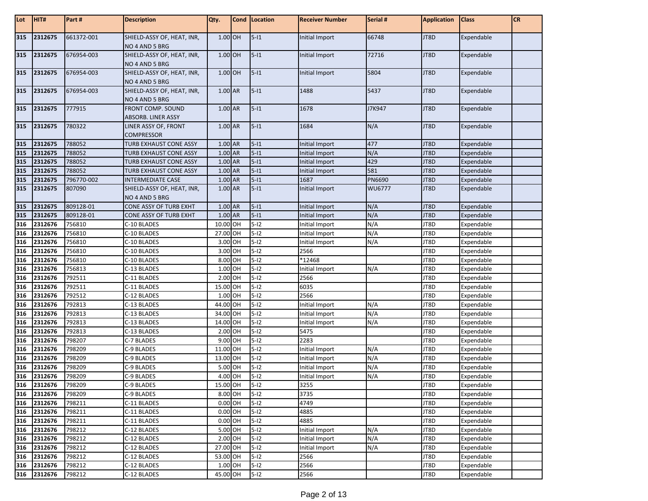| Lot        | HIT#    | Part#      | <b>Description</b>                             | Qty.      | Cond   Location | <b>Receiver Number</b> | Serial # | <b>Application</b> | <b>Class</b> | <b>CR</b> |
|------------|---------|------------|------------------------------------------------|-----------|-----------------|------------------------|----------|--------------------|--------------|-----------|
| 315        | 2312675 | 661372-001 | SHIELD-ASSY OF, HEAT, INR,<br>NO 4 AND 5 BRG   | 1.00 OH   | $5 - 11$        | Initial Import         | 66748    | JT8D               | Expendable   |           |
| 315        | 2312675 | 676954-003 | SHIELD-ASSY OF, HEAT, INR,<br>NO 4 AND 5 BRG   | 1.00 OH   | $5-11$          | Initial Import         | 72716    | JT8D               | Expendable   |           |
| 315        | 2312675 | 676954-003 | SHIELD-ASSY OF, HEAT, INR,<br>NO 4 AND 5 BRG   | 1.00 OH   | $5-11$          | Initial Import         | 5804     | JT8D               | Expendable   |           |
| 315        | 2312675 | 676954-003 | SHIELD-ASSY OF, HEAT, INR,<br>NO 4 AND 5 BRG   | 1.00 AR   | $5-11$          | 1488                   | 5437     | JT8D               | Expendable   |           |
| 315        | 2312675 | 777915     | FRONT COMP. SOUND<br><b>ABSORB. LINER ASSY</b> | 1.00 AR   | $5-11$          | 1678                   | J7K947   | JT8D               | Expendable   |           |
| 315        | 2312675 | 780322     | LINER ASSY OF, FRONT<br><b>COMPRESSOR</b>      | 1.00 AR   | $5-11$          | 1684                   | N/A      | JT8D               | Expendable   |           |
| 315        | 2312675 | 788052     | TURB EXHAUST CONE ASSY                         | 1.00 AR   | $5-11$          | Initial Import         | 477      | JT8D               | Expendable   |           |
| 315        | 2312675 | 788052     | TURB EXHAUST CONE ASSY                         | 1.00 AR   | $5-11$          | Initial Import         | N/A      | JT8D               | Expendable   |           |
| 315        | 2312675 | 788052     | TURB EXHAUST CONE ASSY                         | 1.00 AR   | $5-11$          | <b>Initial Import</b>  | 429      | JT8D               | Expendable   |           |
| 315        | 2312675 | 788052     | TURB EXHAUST CONE ASSY                         | 1.00 AR   | $5-11$          | Initial Import         | 581      | JT8D               | Expendable   |           |
| 315        | 2312675 | 796770-002 | <b>INTERMEDIATE CASE</b>                       | 1.00 AR   | $5-11$          | 1687                   | PN6690   | JT8D               | Expendable   |           |
| 315        | 2312675 | 807090     | SHIELD-ASSY OF, HEAT, INR,<br>NO 4 AND 5 BRG   | 1.00 AR   | $5 - 11$        | Initial Import         | WU6777   | JT8D               | Expendable   |           |
| 315        | 2312675 | 809128-01  | CONE ASSY OF TURB EXHT                         | 1.00 AR   | $5-11$          | Initial Import         | N/A      | JT8D               | Expendable   |           |
| 315        | 2312675 | 809128-01  | CONE ASSY OF TURB EXHT                         | 1.00 AR   | $5-11$          | Initial Import         | N/A      | JT8D               | Expendable   |           |
| 316        | 2312676 | 756810     | C-10 BLADES                                    | 10.00 OH  | $5-12$          | Initial Import         | N/A      | JT8D               | Expendable   |           |
| 316        | 2312676 | 756810     | C-10 BLADES                                    | 27.00 OH  | $5-12$          | Initial Import         | N/A      | JT8D               | Expendable   |           |
|            | 2312676 | 756810     | C-10 BLADES                                    | 3.00 OH   | $5-12$          | Initial Import         | N/A      | JT8D               | Expendable   |           |
| 316<br>316 | 2312676 | 756810     | C-10 BLADES                                    | 3.00 OH   | $5-12$          | 2566                   |          | JT8D               | Expendable   |           |
| 316        | 2312676 | 756810     | C-10 BLADES                                    | 8.00 OH   | $5-12$          | *12468                 |          | JT8D               | Expendable   |           |
| 316        | 2312676 | 756813     | C-13 BLADES                                    | 1.00 OH   | $5-12$          | Initial Import         | N/A      | JT8D               | Expendable   |           |
| 316        | 2312676 | 792511     | C-11 BLADES                                    | 2.00 OH   | $5-12$          | 2566                   |          | JT8D               | Expendable   |           |
| 316        | 2312676 | 792511     | C-11 BLADES                                    | 15.00 OH  | $5-12$          | 6035                   |          | JT8D               | Expendable   |           |
| 316        | 2312676 | 792512     | C-12 BLADES                                    | 1.00 OH   | $5-12$          | 2566                   |          | JT8D               | Expendable   |           |
| 316        | 2312676 | 792813     | C-13 BLADES                                    | 44.00 OH  | $5-12$          | Initial Import         | N/A      | JT8D               | Expendable   |           |
| 316        | 2312676 | 792813     | C-13 BLADES                                    | 34.00 OH  | $5-12$          | Initial Import         | N/A      | JT8D               | Expendable   |           |
| 316        | 2312676 | 792813     | C-13 BLADES                                    | 14.00 OH  | $5-12$          | Initial Import         | N/A      | JT8D               | Expendable   |           |
| 316        | 2312676 | 792813     | C-13 BLADES                                    | 2.00 OH   | $5-12$          | 5475                   |          | JT8D               | Expendable   |           |
| 316        | 2312676 | 798207     | C-7 BLADES                                     | 9.00 OH   | $5-12$          | 2283                   |          | JT8D               | Expendable   |           |
| 316        | 2312676 | 798209     | C-9 BLADES                                     | 11.00 OH  | $5-12$          | Initial Import         | N/A      | JT8D               | Expendable   |           |
| 316        | 2312676 | 798209     | C-9 BLADES                                     | 13.00 OH  | $5-12$          | Initial Import         | N/A      | JT8D               | Expendable   |           |
| 316        | 2312676 | 798209     | C-9 BLADES                                     | 5.00 OH   | $5-12$          | Initial Import         | N/A      | JT8D               | Expendable   |           |
| 316        | 2312676 | 798209     | C-9 BLADES                                     | 4.00 OH   | $5-12$          | Initial Import         | N/A      | JT8D               | Expendable   |           |
| 316        | 2312676 | 798209     | C-9 BLADES                                     | 15.00 OH  | $5-12$          | 3255                   |          | JT8D               | Expendable   |           |
| 316        | 2312676 | 798209     | C-9 BLADES                                     | 8.00 OH   | $5-12$          | 3735                   |          | JT8D               | Expendable   |           |
| 316        | 2312676 | 798211     | C-11 BLADES                                    | $0.00$ OH | $5-12$          | 4749                   |          | JT8D               | Expendable   |           |
| 316        | 2312676 | 798211     | C-11 BLADES                                    | $0.00$ OH | $5-12$          | 4885                   |          | JT8D               | Expendable   |           |
| 316        | 2312676 | 798211     | C-11 BLADES                                    | $0.00$ OH | $5-12$          | 4885                   |          | JT8D               | Expendable   |           |
| 316        | 2312676 | 798212     | C-12 BLADES                                    | 5.00 OH   | $5-12$          | Initial Import         | N/A      | JT8D               | Expendable   |           |
| 316        | 2312676 | 798212     | C-12 BLADES                                    | 2.00 OH   | $5-12$          | Initial Import         | N/A      | JT8D               | Expendable   |           |
| 316        | 2312676 | 798212     | C-12 BLADES                                    | 27.00 OH  | $5-12$          | Initial Import         | N/A      | JT8D               | Expendable   |           |
| 316        | 2312676 | 798212     | C-12 BLADES                                    | 53.00 OH  | $5-12$          | 2566                   |          | JT8D               | Expendable   |           |
| 316        | 2312676 | 798212     | C-12 BLADES                                    | 1.00 OH   | $5-12$          | 2566                   |          | JT8D               | Expendable   |           |
| 316        | 2312676 | 798212     | C-12 BLADES                                    | 45.00 OH  | $5-12$          | 2566                   |          | JT8D               | Expendable   |           |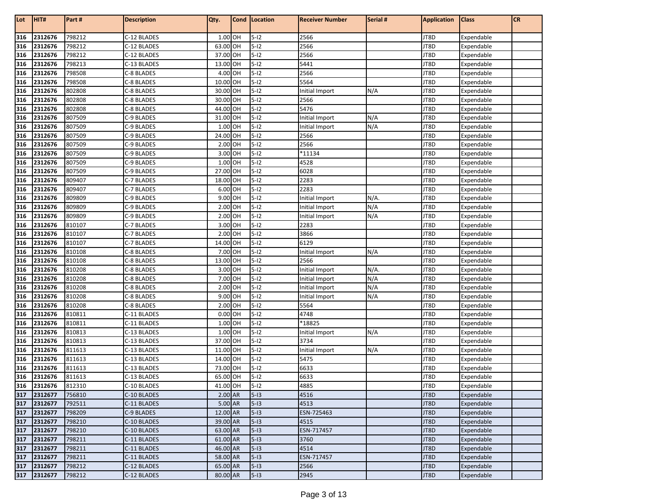| Lot        | HIT#        | Part#  | <b>Description</b>         | Qty.     | Cond   Location | <b>Receiver Number</b> | Serial # | <b>Application</b> | <b>Class</b>             | <b>CR</b> |
|------------|-------------|--------|----------------------------|----------|-----------------|------------------------|----------|--------------------|--------------------------|-----------|
|            | 2312676     | 798212 | C-12 BLADES                | 1.00 OH  | $5-12$          |                        |          | JT8D               | Expendable               |           |
| 316<br>316 | 2312676     | 798212 |                            | 63.00 OH | $5-12$          | 2566<br>2566           |          | JT8D               |                          |           |
| 316        | 2312676     | 798212 | C-12 BLADES<br>C-12 BLADES | 37.00 OH | $5-12$          | 2566                   |          | JT8D               | Expendable<br>Expendable |           |
| 316        | 2312676     | 798213 |                            | 13.00 OH | $5-12$          | 5441                   |          | JT8D               | Expendable               |           |
| 316        | 2312676     | 798508 | C-13 BLADES<br>C-8 BLADES  | 4.00 OH  | $5-12$          | 2566                   |          | JT8D               | Expendable               |           |
|            | 2312676     | 798508 | C-8 BLADES                 | 10.00 OH | $5-12$          | 5564                   |          | JT8D               |                          |           |
| 316        | 2312676     | 802808 |                            | 30.00 OH | $5-12$          |                        | N/A      | JT8D               | Expendable               |           |
| 316<br>316 | 2312676     | 802808 | C-8 BLADES                 | 30.00 OH | $5-12$          | Initial Import         |          | JT8D               | Expendable               |           |
| 316        | 2312676     | 802808 | C-8 BLADES<br>C-8 BLADES   | 44.00 OH | $5-12$          | 2566<br>5476           |          | JT8D               | Expendable<br>Expendable |           |
| 316        | 2312676     | 807509 | C-9 BLADES                 | 31.00 OH | $5-12$          | Initial Import         | N/A      | JT8D               | Expendable               |           |
| 316        | 2312676     | 807509 | C-9 BLADES                 | 1.00 OH  | $5 - 12$        | Initial Import         | N/A      | JT8D               | Expendable               |           |
| 316        | 2312676     | 807509 | C-9 BLADES                 | 24.00 OH | $5-12$          | 2566                   |          | JT8D               | Expendable               |           |
| 316        | 2312676     | 807509 | C-9 BLADES                 | 2.00 OH  | $5-12$          | 2566                   |          | JT8D               | Expendable               |           |
| 316        | 2312676     | 807509 | C-9 BLADES                 | 3.00 OH  | $5-12$          | *11134                 |          | JT8D               | Expendable               |           |
| 316        | 2312676     | 807509 | C-9 BLADES                 | 1.00 OH  | $5-12$          | 4528                   |          | JT8D               | Expendable               |           |
| 316        | 2312676     | 807509 | C-9 BLADES                 | 27.00 OH | $5-12$          | 6028                   |          | JT8D               | Expendable               |           |
| 316        | 2312676     | 809407 | C-7 BLADES                 | 18.00 OH | $5-12$          | 2283                   |          | JT8D               | Expendable               |           |
| 316        | 2312676     | 809407 | C-7 BLADES                 | 6.00 OH  | $5-12$          | 2283                   |          | JT8D               | Expendable               |           |
| 316        | 2312676     | 809809 | C-9 BLADES                 | 9.00 OH  | $5-12$          | Initial Import         | N/A.     | JT8D               | Expendable               |           |
| 316        | 2312676     | 809809 | C-9 BLADES                 | 2.00 OH  | $5-12$          | Initial Import         | N/A      | JT8D               | Expendable               |           |
| 316        | 2312676     | 809809 | C-9 BLADES                 | 2.00 OH  | $5-12$          | Initial Import         | N/A      | JT8D               | Expendable               |           |
| 316        | 2312676     | 810107 | C-7 BLADES                 | 3.00 OH  | $5-12$          | 2283                   |          | JT8D               | Expendable               |           |
| 316        | 2312676     | 810107 | C-7 BLADES                 | 2.00 OH  | $5-12$          | 3866                   |          | JT8D               | Expendable               |           |
| 316        | 2312676     | 810107 | C-7 BLADES                 | 14.00 OH | $5-12$          | 6129                   |          | JT8D               | Expendable               |           |
| 316        | 2312676     | 810108 | C-8 BLADES                 | 7.00 OH  | $5-12$          | Initial Import         | N/A      | JT8D               | Expendable               |           |
| 316        | 2312676     | 810108 | C-8 BLADES                 | 13.00 OH | $5-12$          | 2566                   |          | JT8D               | Expendable               |           |
| 316        | 2312676     | 810208 | C-8 BLADES                 | 3.00 OH  | $5-12$          | Initial Import         | $N/A$ .  | JT8D               | Expendable               |           |
| 316        | 2312676     | 810208 | C-8 BLADES                 | 7.00 OH  | $5-12$          | Initial Import         | N/A      | JT8D               | Expendable               |           |
| 316        | 2312676     | 810208 | C-8 BLADES                 | 2.00 OH  | $5-12$          | Initial Import         | N/A      | JT8D               | Expendable               |           |
| 316        | 2312676     | 810208 | C-8 BLADES                 | 9.00 OH  | $5-12$          | Initial Import         | N/A      | JT8D               | Expendable               |           |
| 316        | 2312676     | 810208 | C-8 BLADES                 | 2.00 OH  | $5-12$          | 5564                   |          | JT8D               | Expendable               |           |
| 316        | 2312676     | 810811 | C-11 BLADES                | 0.00 OH  | $5-12$          | 4748                   |          | JT8D               | Expendable               |           |
| 316        | 2312676     | 810811 | C-11 BLADES                | 1.00 OH  | $5-12$          | *18825                 |          | JT8D               | Expendable               |           |
| 316        | 2312676     | 810813 | C-13 BLADES                | 1.00 OH  | $5-12$          | Initial Import         | N/A      | JT8D               | Expendable               |           |
| 316        | 2312676     | 810813 | C-13 BLADES                | 37.00 OH | $5-12$          | 3734                   |          | JT8D               | Expendable               |           |
| 316        | 2312676     | 811613 | C-13 BLADES                | 11.00 OH | $5-12$          | Initial Import         | N/A      | JT8D               | Expendable               |           |
| 316        | 2312676     | 811613 | C-13 BLADES                | 14.00 OH | $5-12$          | 5475                   |          | JT8D               | Expendable               |           |
| 316        | 2312676     | 811613 | C-13 BLADES                | 73.00 OH | $5-12$          | 6633                   |          | JT8D               | Expendable               |           |
| 316        | 2312676     | 811613 | C-13 BLADES                | 65.00 OH | $5-12$          | 6633                   |          | JT8D               | Expendable               |           |
|            | 316 2312676 | 812310 | C-10 BLADES                | 41.00 OH | $5-12$          | 4885                   |          | JT8D               | Expendable               |           |
| 317        | 2312677     | 756810 | C-10 BLADES                | 2.00 AR  | $5-13$          | 4516                   |          | JT8D               | Expendable               |           |
| 317        | 2312677     | 792511 | C-11 BLADES                | 5.00 AR  | $5-13$          | 4513                   |          | JT8D               | Expendable               |           |
| 317        | 2312677     | 798209 | C-9 BLADES                 | 12.00 AR | $5-13$          | ESN-725463             |          | JT8D               | Expendable               |           |
| 317        | 2312677     | 798210 | C-10 BLADES                | 39.00 AR | $5-13$          | 4515                   |          | JT8D               | Expendable               |           |
| 317        | 2312677     | 798210 | C-10 BLADES                | 63.00 AR | $5-13$          | ESN-717457             |          | JT8D               | Expendable               |           |
| 317        | 2312677     | 798211 | C-11 BLADES                | 61.00 AR | $5-13$          | 3760                   |          | JT8D               | Expendable               |           |
| 317        | 2312677     | 798211 | C-11 BLADES                | 46.00 AR | $5-13$          | 4514                   |          | JT8D               | Expendable               |           |
| 317        | 2312677     | 798211 | C-11 BLADES                | 58.00 AR | $5-13$          | ESN-717457             |          | JT8D               | Expendable               |           |
| 317        | 2312677     | 798212 | C-12 BLADES                | 65.00 AR | $5-13$          | 2566                   |          | JT8D               | Expendable               |           |
| 317        | 2312677     | 798212 | C-12 BLADES                | 80.00 AR | $5-13$          | 2945                   |          | JT8D               | Expendable               |           |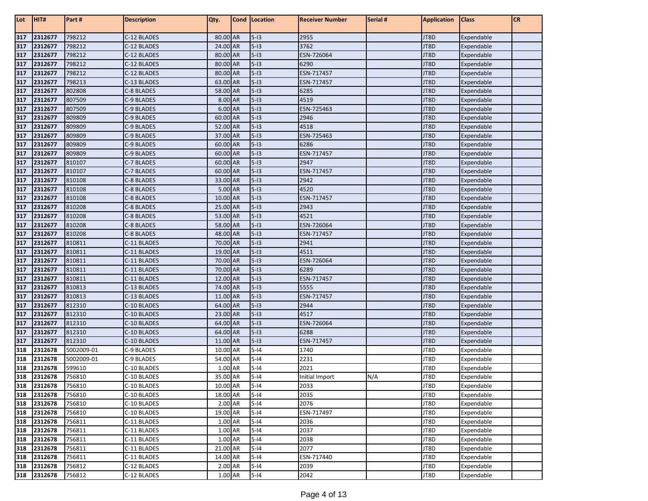| Lot        | HIT#               | Part#            | <b>Description</b>         | Qty.                 | Cond   Location  | <b>Receiver Number</b> | Serial # | <b>Application</b> | <b>Class</b>             | <b>CR</b> |
|------------|--------------------|------------------|----------------------------|----------------------|------------------|------------------------|----------|--------------------|--------------------------|-----------|
| 317        | 2312677            | 798212           | C-12 BLADES                | 80.00 AR             | $5-13$           | 2955                   |          | JT8D               | Expendable               |           |
| 317        | 2312677            | 798212           | C-12 BLADES                | 24.00 AR             | $5-13$           | 3762                   |          | JT8D               | Expendable               |           |
| 317        | 2312677            | 798212           | C-12 BLADES                | 80.00 AR             | $5-13$           | ESN-726064             |          | JT8D               | Expendable               |           |
| 317        | 2312677            | 798212           | C-12 BLADES                | 80.00 AR             | $5-13$           | 6290                   |          | JT8D               | Expendable               |           |
| 317        | 2312677            | 798212           | C-12 BLADES                | 80.00 AR             | $5-13$           | ESN-717457             |          | JT8D               | Expendable               |           |
| 317        | 2312677            | 798213           | C-13 BLADES                | 63.00 AR             | $5-13$           | ESN-717457             |          | JT8D               | Expendable               |           |
| 317        | 2312677            | 802808           | C-8 BLADES                 | 58.00 AR             | $5-13$           | 6285                   |          | JT8D               | Expendable               |           |
| 317        | 2312677            | 807509           | C-9 BLADES                 | 8.00 AR              | $5-13$           | 4519                   |          | JT8D               | Expendable               |           |
| 317        | 2312677            | 807509           | C-9 BLADES                 | 6.00 AR              | $5-13$           | ESN-725463             |          | JT8D               | Expendable               |           |
| 317        | 2312677            | 809809           | C-9 BLADES                 | 60.00 AR             | $5-13$           | 2946                   |          | JT8D               | Expendable               |           |
| 317        | 2312677            | 809809           | C-9 BLADES                 | 52.00 AR             | $5-13$           | 4518                   |          | JT8D               | Expendable               |           |
| 317        | 2312677            | 809809           | C-9 BLADES                 | 37.00 AR             | $5-13$           | ESN-725463             |          | JT8D               | Expendable               |           |
| 317        | 2312677            | 809809           | C-9 BLADES                 | 60.00 AR             | $5-13$           | 6286                   |          | JT8D               | Expendable               |           |
| 317        | 2312677            | 809809           | C-9 BLADES                 | 60.00 AR             | $5-13$           | ESN-717457             |          | JT8D               | Expendable               |           |
| 317        | 2312677            | 810107           | C-7 BLADES                 | 60.00 AR             | $5-13$           | 2947                   |          | JT8D               | Expendable               |           |
| 317        | 2312677            | 810107           | C-7 BLADES                 | 60.00 AR             | $5-13$           | ESN-717457             |          | JT8D               | Expendable               |           |
| 317        | 2312677            | 810108           | C-8 BLADES                 | 33.00 AR             | $5-13$           | 2942                   |          | JT8D               | Expendable               |           |
| 317        | 2312677            | 810108           | C-8 BLADES                 | 5.00 AR              | $5-13$           | 4520                   |          | JT8D               | Expendable               |           |
| 317        | 2312677            | 810108           | C-8 BLADES                 | 10.00 AR             | $5-13$           | ESN-717457             |          | JT8D               | Expendable               |           |
| 317        | 2312677            | 810208           | C-8 BLADES                 | 25.00 AR             | $5-13$           | 2943                   |          | JT8D               | Expendable               |           |
| 317        | 2312677            | 810208           | C-8 BLADES                 | 53.00 AR             | $5-13$           | 4521                   |          | JT8D               | Expendable               |           |
| 317        | 2312677            | 810208           | C-8 BLADES                 | 58.00 AR             | $5-13$           | ESN-726064             |          | JT8D               | Expendable               |           |
| 317        | 2312677            | 810208           | C-8 BLADES                 | 48.00 AR             | $5-13$           | ESN-717457             |          | JT8D               | Expendable               |           |
| 317        | 2312677            | 810811           | C-11 BLADES                | 70.00 AR             | $5-13$           | 2941                   |          | JT8D               | Expendable               |           |
| 317        | 2312677            | 810811           | C-11 BLADES                | 19.00 AR             | $5-13$           | 4511                   |          | JT8D               | Expendable               |           |
| 317        | 2312677            | 810811           | C-11 BLADES                | 70.00 AR             | $5-13$           | ESN-726064             |          | JT8D               | Expendable               |           |
| 317        | 2312677            | 810811           | C-11 BLADES                | 70.00 AR             | $5-13$           | 6289                   |          | JT8D               | Expendable               |           |
| 317        | 2312677            | 810811           | C-11 BLADES                | 12.00 AR             | $5-13$           | ESN-717457             |          | JT8D               | Expendable               |           |
| 317        | 2312677            | 810813           | C-13 BLADES                | 74.00 AR             | $5-13$           | 5555                   |          | JT8D               | Expendable               |           |
| 317        | 2312677            | 810813           | C-13 BLADES                | 11.00 AR             | $5-13$           | ESN-717457             |          | JT8D               | Expendable               |           |
| 317        | 2312677            | 812310           | C-10 BLADES                | 64.00 AR             | $5-13$           | 2944                   |          | JT8D               | Expendable               |           |
| 317<br>317 | 2312677<br>2312677 | 812310<br>812310 | C-10 BLADES<br>C-10 BLADES | 23.00 AR<br>64.00 AR | $5-13$<br>$5-13$ | 4517<br>ESN-726064     |          | JT8D<br>JT8D       | Expendable               |           |
| 317        | 2312677            | 812310           | C-10 BLADES                | 64.00 AR             | $5-13$           | 6288                   |          | JT8D               | Expendable<br>Expendable |           |
| 317        | 2312677            | 812310           | C-10 BLADES                | 11.00 AR             | $5-13$           | ESN-717457             |          | JT8D               | Expendable               |           |
| 318        | 2312678            | 5002009-01       | C-9 BLADES                 | 10.00 AR             | $5 - 14$         | 1740                   |          | JT8D               | Expendable               |           |
| 318        | 2312678            | 5002009-01       | C-9 BLADES                 | 54.00 AR             | $5 - 14$         | 2231                   |          | JT8D               | Expendable               |           |
| 318        | 2312678            | 599610           | C-10 BLADES                | 1.00 AR              | $5 - 14$         | 2021                   |          | JT8D               | Expendable               |           |
| 318        | 2312678            | 756810           | C-10 BLADES                | 35.00 AR             | $5 - 14$         | Initial Import         | N/A      | JT8D               | Expendable               |           |
| 318        | 2312678            | 756810           | C-10 BLADES                | 10.00 AR             | $5-14$           | 2033                   |          | JT8D               | Expendable               |           |
| 318        | 2312678            | 756810           | C-10 BLADES                | 18.00 AR             | $5 - 14$         | 2035                   |          | JT8D               | Expendable               |           |
| 318        | 2312678            | 756810           | C-10 BLADES                | 2.00 AR              | $5 - 14$         | 2076                   |          | JT8D               | Expendable               |           |
| 318        | 2312678            | 756810           | C-10 BLADES                | 19.00 AR             | $5 - 14$         | ESN-717497             |          | JT8D               | Expendable               |           |
| 318        | 2312678            | 756811           | C-11 BLADES                | 1.00 AR              | $5-14$           | 2036                   |          | JT8D               | Expendable               |           |
| 318        | 2312678            | 756811           | C-11 BLADES                | 1.00 AR              | $5-14$           | 2037                   |          | JT8D               | Expendable               |           |
| 318        | 2312678            | 756811           | C-11 BLADES                | 1.00 AR              | $5-14$           | 2038                   |          | JT8D               | Expendable               |           |
| 318        | 2312678            | 756811           | C-11 BLADES                | 21.00 AR             | $5 - 14$         | 2077                   |          | JT8D               | Expendable               |           |
| 318        | 2312678            | 756811           | C-11 BLADES                | 14.00 AR             | $5 - 14$         | ESN-717440             |          | JT8D               | Expendable               |           |
| 318        | 2312678            | 756812           | C-12 BLADES                | 2.00 AR              | $5 - 14$         | 2039                   |          | JT8D               | Expendable               |           |
|            | 318 2312678        | 756812           | C-12 BLADES                | 1.00 AR              | $5-14$           | 2042                   |          | JT8D               | Expendable               |           |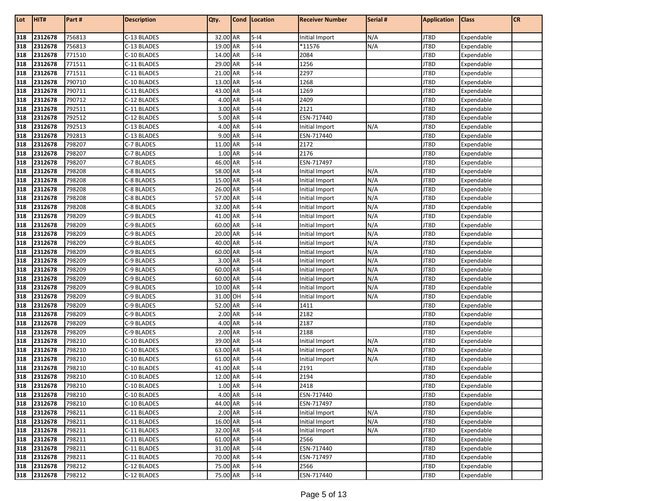| Lot        | HIT#               | Part#            | <b>Description</b>         | Qty.                 | Cond   Location  | <b>Receiver Number</b>           | Serial #   | <b>Application</b> | <b>Class</b>             | <b>CR</b> |
|------------|--------------------|------------------|----------------------------|----------------------|------------------|----------------------------------|------------|--------------------|--------------------------|-----------|
|            |                    |                  |                            |                      |                  |                                  |            |                    |                          |           |
| 318        | 2312678            | 756813           | C-13 BLADES                | 32.00 AR             | $5-14$<br>$5-14$ | Initial Import                   | N/A        | JT8D<br>JT8D       | Expendable               |           |
| 318        | 2312678            | 756813           | C-13 BLADES                | 19.00 AR             |                  | *11576                           | N/A        |                    | Expendable               |           |
| 318        | 2312678            | 771510           | C-10 BLADES                | 14.00 AR             | $5 - 14$         | 2084                             |            | JT8D               | Expendable               |           |
| 318        | 2312678            | 771511           | C-11 BLADES                | 29.00 AR             | $5-14$           | 1256                             |            | JT8D               | Expendable               |           |
| 318        | 2312678            | 771511           | C-11 BLADES                | 21.00 AR             | $5-14$           | 2297                             |            | JT8D               | Expendable               |           |
| 318        | 2312678            | 790710           | C-10 BLADES                | 13.00 AR             | $5-14$           | 1268                             |            | JT8D               | Expendable               |           |
| 318        | 2312678            | 790711           | C-11 BLADES<br>C-12 BLADES | 43.00 AR             | $5-14$           | 1269                             |            | JT8D               | Expendable               |           |
| 318        | 2312678            | 790712           |                            | 4.00 AR<br>3.00 AR   | $5-14$           | 2409                             |            | JT8D               | Expendable               |           |
| 318        | 2312678            | 792511<br>792512 | C-11 BLADES                | 5.00 AR              | $5-14$<br>$5-14$ | 2121<br>ESN-717440               |            | JT8D               | Expendable               |           |
| 318<br>318 | 2312678<br>2312678 | 792513           | C-12 BLADES<br>C-13 BLADES | 4.00 AR              | $5-14$           |                                  |            | JT8D<br>JT8D       | Expendable               |           |
|            |                    | 792813           |                            | 9.00 AR              | $5-14$           | Initial Import                   | N/A        | JT8D               | Expendable               |           |
| 318<br>318 | 2312678<br>2312678 | 798207           | C-13 BLADES                | 11.00 AR             | $5-14$           | ESN-717440<br>2172               |            | JT8D               | Expendable               |           |
|            |                    |                  | C-7 BLADES                 |                      |                  |                                  |            |                    | Expendable               |           |
| 318        | 2312678            | 798207           | C-7 BLADES                 | 1.00 AR              | $5-14$           | 2176                             |            | JT8D               | Expendable               |           |
| 318        | 2312678            | 798207           | C-7 BLADES                 | 46.00 AR             | $5-14$<br>$5-14$ | ESN-717497                       |            | JT8D               | Expendable               |           |
| 318        | 2312678<br>2312678 | 798208<br>798208 | C-8 BLADES                 | 58.00 AR             | $5-14$           | Initial Import                   | N/A<br>N/A | JT8D<br>JT8D       | Expendable               |           |
| 318        | 2312678            | 798208           | C-8 BLADES                 | 15.00 AR<br>26.00 AR | $5-14$           | Initial Import                   | N/A        | JT8D               | Expendable               |           |
| 318<br>318 | 2312678            | 798208           | C-8 BLADES<br>C-8 BLADES   | 57.00 AR             | $5-14$           | Initial Import<br>Initial Import | N/A        | JT8D               | Expendable<br>Expendable |           |
| 318        | 2312678            | 798208           | C-8 BLADES                 | 32.00 AR             | $5 - 14$         | Initial Import                   | N/A        | JT8D               | Expendable               |           |
| 318        | 2312678            | 798209           | C-9 BLADES                 | 41.00 AR             | $5 - 14$         | Initial Import                   | N/A        | JT8D               | Expendable               |           |
| 318        | 2312678            | 798209           | C-9 BLADES                 | 60.00 AR             | $5-14$           |                                  | N/A        | JT8D               | Expendable               |           |
| 318        | 2312678            | 798209           | C-9 BLADES                 | 20.00 AR             | $5-14$           | Initial Import                   | N/A        | JT8D               | Expendable               |           |
| 318        | 2312678            | 798209           | C-9 BLADES                 | 40.00 AR             | $5-14$           | Initial Import<br>Initial Import | N/A        | JT8D               | Expendable               |           |
| 318        | 2312678            | 798209           | C-9 BLADES                 | 60.00 AR             | $5-14$           | Initial Import                   | N/A        | JT8D               | Expendable               |           |
| 318        | 2312678            | 798209           | C-9 BLADES                 | 3.00 AR              | $5-14$           | Initial Import                   | N/A        | JT8D               | Expendable               |           |
| 318        | 2312678            | 798209           | C-9 BLADES                 | 60.00 AR             | $5-14$           | Initial Import                   | N/A        | JT8D               | Expendable               |           |
| 318        | 2312678            | 798209           | C-9 BLADES                 | 60.00 AR             | $5-14$           | Initial Import                   | N/A        | JT8D               | Expendable               |           |
| 318        | 2312678            | 798209           | C-9 BLADES                 | 10.00 AR             | $5-14$           | Initial Import                   | N/A        | JT8D               | Expendable               |           |
| 318        | 2312678            | 798209           | C-9 BLADES                 | 31.00 OH             | $5-14$           | Initial Import                   | N/A        | JT8D               | Expendable               |           |
| 318        | 2312678            | 798209           | C-9 BLADES                 | 52.00 AR             | $5-14$           | 1411                             |            | JT8D               | Expendable               |           |
| 318        | 2312678            | 798209           | C-9 BLADES                 | 2.00 AR              | $5-14$           | 2182                             |            | JT8D               | Expendable               |           |
| 318        | 2312678            | 798209           | C-9 BLADES                 | 4.00 AR              | $5-14$           | 2187                             |            | JT8D               | Expendable               |           |
| 318        | 2312678            | 798209           | C-9 BLADES                 | 2.00 AR              | $5-14$           | 2188                             |            | JT8D               | Expendable               |           |
| 318        | 2312678            | 798210           | C-10 BLADES                | 39.00 AR             | $5-14$           | Initial Import                   | N/A        | JT8D               | Expendable               |           |
| 318        | 2312678            | 798210           | C-10 BLADES                | 63.00 AR             | $5-14$           | Initial Import                   | N/A        | JT8D               | Expendable               |           |
| 318        | 2312678            | 798210           | C-10 BLADES                | 61.00 AR             | $5 - 14$         | Initial Import                   | N/A        | JT8D               | Expendable               |           |
| 318        | 2312678            | 798210           | C-10 BLADES                | 41.00 AR             | $5-14$           | 2191                             |            | JT8D               | Expendable               |           |
| 318        | 2312678            | 798210           | C-10 BLADES                | 12.00 AR             | $5-14$           | 2194                             |            | JT8D               | Expendable               |           |
| 318        | 2312678            | 798210           | C-10 BLADES                | 1.00 AR              | $5 - 14$         | 2418                             |            | JT8D               | Expendable               |           |
| 318        | 2312678            | 798210           | C-10 BLADES                | 4.00 AR              | $5-14$           | ESN-717440                       |            | JT8D               | Expendable               |           |
| 318        | 2312678            | 798210           | C-10 BLADES                | 44.00 AR             | $5-14$           | ESN-717497                       |            | JT8D               | Expendable               |           |
| 318        | 2312678            | 798211           | C-11 BLADES                | 2.00 AR              | $5-14$           | Initial Import                   | N/A        | JT8D               | Expendable               |           |
| 318        | 2312678            | 798211           | C-11 BLADES                | 16.00 AR             | $5-14$           | Initial Import                   | N/A        | JT8D               | Expendable               |           |
| 318        | 2312678            | 798211           | C-11 BLADES                | 32.00 AR             | $5-14$           | Initial Import                   | N/A        | JT8D               | Expendable               |           |
| 318        | 2312678            | 798211           | C-11 BLADES                | 61.00 AR             | $5-14$           | 2566                             |            | JT8D               | Expendable               |           |
| 318        | 2312678            | 798211           | C-11 BLADES                | 31.00 AR             | $5 - 14$         | ESN-717440                       |            | JT8D               | Expendable               |           |
|            | 318 2312678        | 798211           | C-11 BLADES                | 70.00 AR             | $5 - 14$         | ESN-717497                       |            | JT8D               | Expendable               |           |
| 318        | 2312678            | 798212           | C-12 BLADES                | 75.00 AR             | $5 - 14$         | 2566                             |            | JT8D               | Expendable               |           |
| 318        | 2312678            | 798212           | C-12 BLADES                | 75.00 AR             | $5 - 14$         | ESN-717440                       |            | JT8D               | Expendable               |           |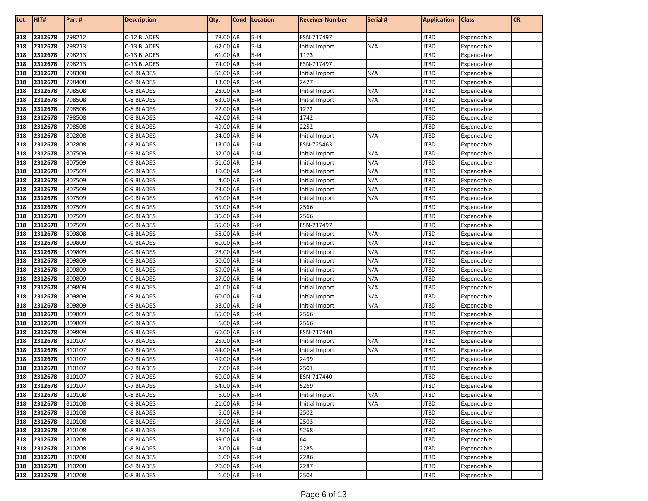| Lot        | HIT#               | Part #           | <b>Description</b>       | Qty.                | <b>Cond Location</b> | <b>Receiver Number</b> | Serial # | <b>Application</b> | <b>Class</b>             | <b>CR</b> |
|------------|--------------------|------------------|--------------------------|---------------------|----------------------|------------------------|----------|--------------------|--------------------------|-----------|
| 318        | 2312678            | 798212           | C-12 BLADES              | 78.00 AR            | $5 - 14$             | ESN-717497             |          | JT8D               | Expendable               |           |
| 318        | 2312678            | 798213           | C-13 BLADES              | 62.00 AR            | $5-14$               | Initial Import         | N/A      | JT8D               | Expendable               |           |
| 318        | 2312678            | 798213           | C-13 BLADES              | 61.00 AR            | $5-14$               | 1173                   |          | JT8D               | Expendable               |           |
| 318        | 2312678            | 798213           | C-13 BLADES              | 74.00 AR            | $5-14$               | ESN-717497             |          | JT8D               | Expendable               |           |
| 318        | 2312678            | 798308           | C-8 BLADES               | 51.00 AR            | $5-14$               | Initial Import         | N/A      | JT8D               | Expendable               |           |
| 318        | 2312678            | 798408           | C-8 BLADES               | 13.00 AR            | $5-14$               | 2427                   |          | JT8D               | Expendable               |           |
| 318        | 2312678            | 798508           | C-8 BLADES               | 28.00 AR            | $5 - 14$             | Initial Import         | N/A      | JT8D               | Expendable               |           |
| 318        | 2312678            | 798508           | C-8 BLADES               | 63.00 AR            | $5 - 14$             | Initial Import         | N/A      | JT8D               | Expendable               |           |
| 318        | 2312678            | 798508           | C-8 BLADES               | 22.00 AR            | $5 - 14$             | 1272                   |          | JT8D               | Expendable               |           |
| 318        | 2312678            | 798508           | C-8 BLADES               | 42.00 AR            | $5 - 14$             | 1742                   |          | JT8D               | Expendable               |           |
| 318        | 2312678            | 798508           | C-8 BLADES               | 49.00 AR            | $5-14$               | 2252                   |          | JT8D               | Expendable               |           |
| 318        | 2312678            | 802808           | C-8 BLADES               | 34.00 AR            | $5 - 14$             | Initial Import         | N/A      | JT8D               | Expendable               |           |
| 318        | 2312678            | 802808           | C-8 BLADES               | 13.00 AR            | $5 - 14$             | ESN-725463             |          | JT8D               | Expendable               |           |
| 318        | 2312678            | 807509           | C-9 BLADES               | 32.00 AR            | $5-14$               | Initial Import         | N/A      | JT8D               | Expendable               |           |
| 318        | 2312678            | 807509           | C-9 BLADES               | 51.00 AR            | $5 - 14$             | Initial Import         | N/A      | JT8D               | Expendable               |           |
| 318        | 2312678            | 807509           | C-9 BLADES               | 10.00 AR            | $5-14$               | Initial Import         | N/A      | JT8D               | Expendable               |           |
| 318        | 2312678            | 807509           | C-9 BLADES               | 4.00 AR             | $5-14$               | Initial Import         | N/A      | JT8D               | Expendable               |           |
| 318        | 2312678            | 807509           | C-9 BLADES               | 23.00 AR            | $5-14$               | Initial Import         | N/A      | JT8D               | Expendable               |           |
| 318        | 2312678            | 807509           | C-9 BLADES               | 60.00 AR            | $5-14$               | Initial Import         | N/A      | JT8D               | Expendable               |           |
| 318        | 2312678            | 807509           | C-9 BLADES               | 35.00 AR            | $5 - 14$             | 2566                   |          | JT8D               | Expendable               |           |
| 318        | 2312678            | 807509           | C-9 BLADES               | 36.00 AR            | $5-14$               | 2566                   |          | JT8D               | Expendable               |           |
| 318        | 2312678            | 807509           | C-9 BLADES               | 55.00 AR            | $5-14$               | ESN-717497             |          | JT8D               | Expendable               |           |
| 318        | 2312678            | 809808           | C-8 BLADES               | 58.00 AR            | $5 - 14$             | Initial Import         | N/A      | JT8D               | Expendable               |           |
| 318        | 2312678            | 809809           | C-9 BLADES               | 60.00 AR            | $5 - 14$             | Initial Import         | N/A      | JT8D               | Expendable               |           |
| 318        | 2312678            | 809809           | C-9 BLADES               | 28.00 AR            | $5 - 14$             | Initial Import         | N/A      | JT8D               | Expendable               |           |
| 318        | 2312678            | 809809           | C-9 BLADES               | 50.00 AR            | $5 - 14$             | Initial Import         | N/A      | JT8D               | Expendable               |           |
| 318        | 2312678            | 809809           | C-9 BLADES               | 59.00 AR            | $5-14$               | Initial Import         | N/A      | JT8D               | Expendable               |           |
| 318        | 2312678            | 809809           | C-9 BLADES               | 37.00 AR            | $5-14$               | Initial Import         | N/A      | JT8D               | Expendable               |           |
| 318        | 2312678            | 809809           | C-9 BLADES               | 41.00 AR            | $5-14$               | Initial Import         | N/A      | JT8D               | Expendable               |           |
| 318        | 2312678            | 809809           | C-9 BLADES               | 60.00 AR            | $5 - 14$             | Initial Import         | N/A      | JT8D               | Expendable               |           |
| 318        | 2312678            | 809809           | C-9 BLADES               | 38.00 AR            | $5 - 14$             | Initial Import         | N/A      | JT8D               | Expendable               |           |
| 318        | 2312678            | 809809           | C-9 BLADES               | 55.00 AR            | $5 - 14$             | 2566                   |          | JT8D               | Expendable               |           |
| 318        | 2312678            | 809809           | C-9 BLADES               | 6.00 AR             | $5 - 14$             | 2566                   |          | JT8D               | Expendable               |           |
| 318        | 2312678            | 809809           | C-9 BLADES               | 60.00 AR            | $5 - 14$             | ESN-717440             |          | JT8D               | Expendable               |           |
| 318        | 2312678            | 810107           | C-7 BLADES               | 25.00 AR            | $5 - 14$             | Initial Import         | N/A      | JT8D               | Expendable               |           |
| 318        | 2312678            | 810107           | C-7 BLADES               | 44.00 AR            | $5-14$               | Initial Import         | N/A      | JT8D               | Expendable               |           |
| 318        | 2312678            | 810107           | C-7 BLADES               | 49.00 AR            | $5 - 14$             | 2499                   |          | JT8D               | Expendable               |           |
| 318<br>318 | 2312678<br>2312678 | 810107<br>810107 | C-7 BLADES<br>C-7 BLADES | 7.00 AR<br>60.00 AR | $5-14$<br>$5 - 14$   | 2501<br>ESN-717440     |          | JT8D<br>JT8D       | Expendable               |           |
|            | 2312678            | 810107           |                          | 54.00 AR            | $5-14$               | 5269                   |          | JT8D               | Expendable<br>Expendable |           |
| 318<br>318 | 2312678            | 810108           | C-7 BLADES<br>C-8 BLADES | 6.00 AR             | $5-14$               | Initial Import         | N/A      | JT8D               | Expendable               |           |
| 318        | 2312678            | 810108           | C-8 BLADES               | 21.00 AR            | $5 - 14$             | Initial Import         | N/A      | JT8D               | Expendable               |           |
| 318        | 2312678            | 810108           | C-8 BLADES               | 5.00 AR             | $5 - 14$             | 2502                   |          | JT8D               | Expendable               |           |
| 318        | 2312678            | 810108           | C-8 BLADES               | 35.00 AR            | $5 - 14$             | 2503                   |          | JT8D               | Expendable               |           |
| 318        | 2312678            | 810108           | C-8 BLADES               | 2.00 AR             | $5 - 14$             | 5268                   |          | JT8D               | Expendable               |           |
| 318        | 2312678            | 810208           | C-8 BLADES               | 39.00 AR            | $5 - 14$             | 641                    |          | JT8D               | Expendable               |           |
| 318        | 2312678            | 810208           | C-8 BLADES               | 8.00 AR             | $5 - 14$             | 2285                   |          | JT8D               | Expendable               |           |
| 318        | 2312678            | 810208           | C-8 BLADES               | 1.00 AR             | $5 - 14$             | 2286                   |          | JT8D               | Expendable               |           |
| 318        | 2312678            | 810208           | C-8 BLADES               | 20.00 AR            | $5-14$               | 2287                   |          | JT8D               | Expendable               |           |
| 318        | 2312678            | 810208           | C-8 BLADES               | 1.00 AR             | $5 - 14$             | 2504                   |          | JT8D               | Expendable               |           |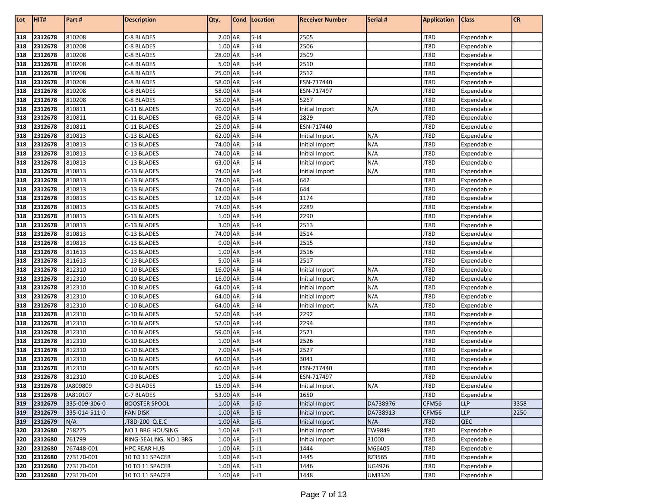| Lot | HIT#    | Part#         | <b>Description</b>     | Qty.     | Cond   Location | <b>Receiver Number</b> | Serial # | <b>Application</b> | <b>Class</b> | CR   |
|-----|---------|---------------|------------------------|----------|-----------------|------------------------|----------|--------------------|--------------|------|
| 318 | 2312678 | 810208        | C-8 BLADES             | 2.00 AR  | $5-14$          | 2505                   |          | JT8D               | Expendable   |      |
| 318 | 2312678 | 810208        | C-8 BLADES             | 1.00 AR  | $5-14$          | 2506                   |          | JT8D               | Expendable   |      |
| 318 | 2312678 | 810208        | C-8 BLADES             | 28.00 AR | $5 - 14$        | 2509                   |          | JT8D               | Expendable   |      |
| 318 | 2312678 | 810208        | C-8 BLADES             | 5.00 AR  | $5-14$          | 2510                   |          | JT8D               | Expendable   |      |
| 318 | 2312678 | 810208        | C-8 BLADES             | 25.00 AR | $5-14$          | 2512                   |          | JT8D               | Expendable   |      |
| 318 | 2312678 | 810208        | C-8 BLADES             | 58.00 AR | $5 - 14$        | ESN-717440             |          | JT8D               | Expendable   |      |
| 318 | 2312678 | 810208        | C-8 BLADES             | 58.00 AR | $5-14$          | ESN-717497             |          | JT8D               | Expendable   |      |
| 318 | 2312678 | 810208        | C-8 BLADES             | 55.00 AR | $5-14$          | 5267                   |          | JT8D               | Expendable   |      |
| 318 | 2312678 | 810811        | C-11 BLADES            | 70.00 AR | $5-14$          | Initial Import         | N/A      | JT8D               | Expendable   |      |
| 318 | 2312678 | 810811        | C-11 BLADES            | 68.00 AR | $5-14$          | 2829                   |          | JT8D               | Expendable   |      |
| 318 | 2312678 | 810811        | C-11 BLADES            | 25.00 AR | $5-14$          | ESN-717440             |          | JT8D               | Expendable   |      |
| 318 | 2312678 | 810813        | C-13 BLADES            | 62.00 AR | $5-14$          | Initial Import         | N/A      | JT8D               | Expendable   |      |
| 318 | 2312678 | 810813        | C-13 BLADES            | 74.00 AR | $5-14$          | Initial Import         | N/A      | JT8D               | Expendable   |      |
| 318 | 2312678 | 810813        | C-13 BLADES            | 74.00 AR | $5-14$          | Initial Import         | N/A      | JT8D               | Expendable   |      |
| 318 | 2312678 | 810813        | C-13 BLADES            | 63.00 AR | $5-14$          | Initial Import         | N/A      | JT8D               | Expendable   |      |
| 318 | 2312678 | 810813        | C-13 BLADES            | 74.00 AR | $5-14$          | Initial Import         | N/A      | JT8D               | Expendable   |      |
| 318 | 2312678 | 810813        | C-13 BLADES            | 74.00 AR | $5-14$          | 642                    |          | JT8D               | Expendable   |      |
| 318 | 2312678 | 810813        | C-13 BLADES            | 74.00 AR | $5-14$          | 644                    |          | JT8D               | Expendable   |      |
| 318 | 2312678 | 810813        | C-13 BLADES            | 12.00 AR | $5-14$          | 1174                   |          | JT8D               | Expendable   |      |
| 318 | 2312678 | 810813        | C-13 BLADES            | 74.00 AR | $5-14$          | 2289                   |          | JT8D               | Expendable   |      |
| 318 | 2312678 | 810813        | C-13 BLADES            | 1.00 AR  | $5-14$          | 2290                   |          | JT8D               | Expendable   |      |
| 318 | 2312678 | 810813        | C-13 BLADES            | 3.00 AR  | $5-14$          | 2513                   |          | JT8D               | Expendable   |      |
| 318 | 2312678 | 810813        | C-13 BLADES            | 74.00 AR | $5-14$          | 2514                   |          | JT8D               | Expendable   |      |
| 318 | 2312678 | 810813        | C-13 BLADES            | 9.00 AR  | $5-14$          | 2515                   |          | JT8D               | Expendable   |      |
| 318 | 2312678 | 811613        | C-13 BLADES            | 1.00 AR  | $5-14$          | 2516                   |          | JT8D               | Expendable   |      |
| 318 | 2312678 | 811613        | C-13 BLADES            | 5.00 AR  | $5-14$          | 2517                   |          | JT8D               | Expendable   |      |
| 318 | 2312678 | 812310        | C-10 BLADES            | 16.00 AR | $5-14$          | Initial Import         | N/A      | JT8D               | Expendable   |      |
| 318 | 2312678 | 812310        | C-10 BLADES            | 16.00 AR | $5-14$          | Initial Import         | N/A      | JT8D               | Expendable   |      |
| 318 | 2312678 | 812310        | C-10 BLADES            | 64.00 AR | $5-14$          | Initial Import         | N/A      | JT8D               | Expendable   |      |
| 318 | 2312678 | 812310        | C-10 BLADES            | 64.00 AR | $5-14$          | Initial Import         | N/A      | JT8D               | Expendable   |      |
| 318 | 2312678 | 812310        | C-10 BLADES            | 64.00 AR | $5-14$          | Initial Import         | N/A      | JT8D               | Expendable   |      |
| 318 | 2312678 | 812310        | C-10 BLADES            | 57.00 AR | $5-14$          | 2292                   |          | JT8D               | Expendable   |      |
| 318 | 2312678 | 812310        | C-10 BLADES            | 52.00 AR | $5 - 14$        | 2294                   |          | JT8D               | Expendable   |      |
| 318 | 2312678 | 812310        | C-10 BLADES            | 59.00 AR | $5-14$          | 2521                   |          | JT8D               | Expendable   |      |
| 318 | 2312678 | 812310        | C-10 BLADES            | 1.00 AR  | $5-14$          | 2526                   |          | JT8D               | Expendable   |      |
| 318 | 2312678 | 812310        | C-10 BLADES            | 7.00 AR  | $5-14$          | 2527                   |          | JT8D               | Expendable   |      |
| 318 | 2312678 | 812310        | C-10 BLADES            | 64.00 AR | $5-14$          | 3041                   |          | JT8D               | Expendable   |      |
| 318 | 2312678 | 812310        | C-10 BLADES            | 60.00 AR | $5-14$          | ESN-717440             |          | JT8D               | Expendable   |      |
| 318 | 2312678 | 812310        | C-10 BLADES            | 1.00 AR  | $5-14$          | ESN-717497             |          | JT8D               | Expendable   |      |
| 318 | 2312678 | JA809809      | C-9 BLADES             | 15.00 AR | $5-14$          | Initial Import         | N/A      | JT8D               | Expendable   |      |
| 318 | 2312678 | JA810107      | C-7 BLADES             | 53.00 AR | $5-14$          | 1650                   |          | JT8D               | Expendable   |      |
| 319 | 2312679 | 335-009-306-0 | <b>BOOSTER SPOOL</b>   | 1.00 AR  | $5-15$          | Initial Import         | DA738976 | CFM56              | <b>LLP</b>   | 3358 |
| 319 | 2312679 | 335-014-511-0 | FAN DISK               | 1.00 AR  | $5-15$          | Initial Import         | DA738913 | CFM56              | LLP          | 2250 |
| 319 | 2312679 | N/A           | JT8D-200 Q.E.C         | 1.00 AR  | $5-15$          | Initial Import         | N/A      | JT8D               | QEC          |      |
| 320 | 2312680 | 758275        | NO 1 BRG HOUSING       | 1.00 AR  | $5 - J1$        | Initial Import         | TW9849   | JT8D               | Expendable   |      |
| 320 | 2312680 | 761799        | RING-SEALING, NO 1 BRG | 1.00 AR  | $5 - J1$        | Initial Import         | 31000    | JT8D               | Expendable   |      |
| 320 | 2312680 | 767448-001    | <b>HPC REAR HUB</b>    | 1.00 AR  | $5 - J1$        | 1444                   | M66405   | JT8D               | Expendable   |      |
| 320 | 2312680 | 773170-001    | 10 TO 11 SPACER        | 1.00 AR  | $5 - J1$        | 1445                   | RZ3565   | JT8D               | Expendable   |      |
| 320 | 2312680 | 773170-001    | 10 TO 11 SPACER        | 1.00 AR  | $5 - J1$        | 1446                   | UG4926   | JT8D               | Expendable   |      |
| 320 | 2312680 | 773170-001    | 10 TO 11 SPACER        | 1.00 AR  | $5 - J1$        | 1448                   | UM3326   | JT8D               | Expendable   |      |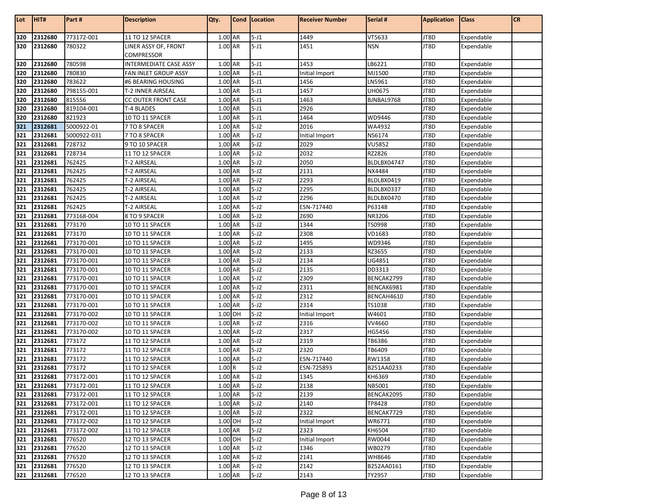| Lot        | HIT#               | Part#                 | <b>Description</b>                | Qty.               | Cond   Location      | <b>Receiver Number</b> | Serial #                | <b>Application</b> | <b>Class</b>             | <b>CR</b> |
|------------|--------------------|-----------------------|-----------------------------------|--------------------|----------------------|------------------------|-------------------------|--------------------|--------------------------|-----------|
|            |                    |                       |                                   |                    |                      |                        |                         |                    |                          |           |
| 320        | 2312680            | 773172-001            | 11 TO 12 SPACER                   | 1.00 AR            | $5 - J1$             | 1449                   | VT5633                  | JT8D               | Expendable               |           |
| 320        | 2312680            | 780322                | LINER ASSY OF, FRONT              | 1.00 AR            | $5 - J1$             | 1451                   | <b>NSN</b>              | JT8D               | Expendable               |           |
|            |                    |                       | COMPRESSOR                        |                    |                      |                        |                         |                    |                          |           |
| 320        | 2312680            | 780598                | <b>INTERMEDIATE CASE ASSY</b>     | 1.00 AR            | $5 - J1$             | 1453                   | LB6221                  | JT8D               | Expendable               |           |
| 320        | 2312680            | 780830                | FAN INLET GROUP ASSY              | 1.00 AR            | $5 - J1$             | Initial Import         | MJ1500                  | JT8D               | Expendable               |           |
| 320        | 2312680            | 783622                | #6 BEARING HOUSING                | 1.00 AR            | $5 - J1$             | 1456                   | LN5961                  | JT8D               | Expendable               |           |
| 320        | 2312680            | 798155-001            | T-2 INNER AIRSEAL                 | 1.00 AR            | $5 - J1$             | 1457                   | UH0675                  | JT8D               | Expendable               |           |
| 320        | 2312680            | 815556                | CC OUTER FRONT CASE               | 1.00 AR            | $5 - J1$             | 1463                   | BJNBAL9768              | JT8D               | Expendable               |           |
| 320        | 2312680            | 819104-001            | T-4 BLADES                        | 1.00 AR<br>1.00 AR | $5 - J1$             | 2926                   |                         | JT8D               | Expendable               |           |
| 320<br>321 | 2312680            | 821923                | 10 TO 11 SPACER                   |                    | $5 - J1$             | 1464                   | WD9446                  | JT8D               | Expendable               |           |
| 321        | 2312681            | 5000922-01            | 7 TO 8 SPACER                     | 1.00 AR            | $5 - J2$             | 2016                   | WA4932                  | JT8D               | Expendable               |           |
| 321        | 2312681<br>2312681 | 5000922-031<br>728732 | 7 TO 8 SPACER                     | 1.00 AR<br>1.00 AR | $5 - J2$<br>$5 - J2$ | Initial Import<br>2029 | NS6174<br><b>VU5852</b> | JT8D<br>JT8D       | Expendable               |           |
|            |                    |                       | 9 TO 10 SPACER                    |                    | $5 - J2$             |                        |                         |                    | Expendable               |           |
| 321<br>321 | 2312681<br>2312681 | 728734<br>762425      | 11 TO 12 SPACER<br>T-2 AIRSEAL    | 1.00 AR<br>1.00 AR | $5 - J2$             | 2032<br>2050           | RZ2826<br>BLDLBX04747   | JT8D<br>JT8D       | Expendable               |           |
| 321        | 2312681            | 762425                | T-2 AIRSEAL                       | 1.00 AR            | $5-J2$               | 2131                   | NX4484                  | JT8D               | Expendable               |           |
| 321        | 2312681            | 762425                |                                   | 1.00 AR            | $5 - J2$             | 2293                   | BLDLBX0419              | JT8D               | Expendable               |           |
| 321        | 2312681            | 762425                | T-2 AIRSEAL<br><b>T-2 AIRSEAL</b> | 1.00 AR            | $5 - J2$             | 2295                   | BLDLBX0337              | JT8D               | Expendable<br>Expendable |           |
| 321        | 2312681            | 762425                | T-2 AIRSEAL                       | 1.00 AR            | $5 - J2$             | 2296                   | BLDLBX0470              | JT8D               | Expendable               |           |
| 321        | 2312681            | 762425                | T-2 AIRSEAL                       | 1.00 AR            | $5 - J2$             | ESN-717440             | P63148                  | JT8D               | Expendable               |           |
| 321        | 2312681            | 773168-004            | 8 TO 9 SPACER                     | 1.00 AR            | $5 - J2$             | 2690                   | NR3206                  | JT8D               | Expendable               |           |
| 321        | 2312681            | 773170                | 10 TO 11 SPACER                   | 1.00 AR            | $5 - J2$             | 1344                   | TS0998                  | JT8D               | Expendable               |           |
| 321        | 2312681            | 773170                | 10 TO 11 SPACER                   | 1.00 AR            | $5 - J2$             | 2308                   | VD1683                  | JT8D               | Expendable               |           |
| 321        | 2312681            | 773170-001            | 10 TO 11 SPACER                   | 1.00 AR            | $5 - J2$             | 1495                   | WD9346                  | JT8D               | Expendable               |           |
| 321        | 2312681            | 773170-001            | 10 TO 11 SPACER                   | 1.00 AR            | $5 - J2$             | 2133                   | RZ3655                  | JT8D               | Expendable               |           |
| 321        | 2312681            | 773170-001            | 10 TO 11 SPACER                   | 1.00 AR            | $5 - J2$             | 2134                   | UG4851                  | JT8D               | Expendable               |           |
| 321        | 2312681            | 773170-001            | 10 TO 11 SPACER                   | 1.00 AR            | $5 - J2$             | 2135                   | DD3313                  | JT8D               | Expendable               |           |
| 321        | 2312681            | 773170-001            | 10 TO 11 SPACER                   | 1.00 AR            | $5 - J2$             | 2309                   | BENCAK2799              | JT8D               | Expendable               |           |
| 321        | 2312681            | 773170-001            | 10 TO 11 SPACER                   | 1.00 AR            | $5 - J2$             | 2311                   | BENCAK6981              | JT8D               | Expendable               |           |
| 321        | 2312681            | 773170-001            | 10 TO 11 SPACER                   | 1.00 AR            | $5 - J2$             | 2312                   | BENCAH4610              | JT8D               | Expendable               |           |
| 321        | 2312681            | 773170-001            | 10 TO 11 SPACER                   | 1.00 AR            | $5 - J2$             | 2314                   | TS1038                  | JT8D               | Expendable               |           |
| 321        | 2312681            | 773170-002            | 10 TO 11 SPACER                   | 1.00 OH            | $5 - J2$             | Initial Import         | W4601                   | JT8D               | Expendable               |           |
| 321        | 2312681            | 773170-002            | 10 TO 11 SPACER                   | 1.00 AR            | $5 - J2$             | 2316                   | VV4660                  | JT8D               | Expendable               |           |
| 321        | 2312681            | 773170-002            | 10 TO 11 SPACER                   | 1.00 AR            | $5 - J2$             | 2317                   | HG5456                  | JT8D               | Expendable               |           |
| 321        | 2312681            | 773172                | 11 TO 12 SPACER                   | 1.00 AR            | $5 - J2$             | 2319                   | TB6386                  | JT8D               | Expendable               |           |
| 321        | 2312681            | 773172                | 11 TO 12 SPACER                   | 1.00 AR            | $5 - J2$             | 2320                   | TB6409                  | JT8D               | Expendable               |           |
| 321        | 2312681            | 773172                | 11 TO 12 SPACER                   | 1.00 AR            | $5-J2$               | ESN-717440             | RW1358                  | JT8D               | Expendable               |           |
| 321        | 2312681            | 773172                | 11 TO 12 SPACER                   | 1.00R              | $5-J2$               | ESN-725893             | B251AA0233              | JT8D               | Expendable               |           |
| 321        | 2312681            | 773172-001            | 11 TO 12 SPACER                   | 1.00 AR            | $5-J2$               | 1345                   | KH6369                  | JT8D               | Expendable               |           |
| 321        | 2312681            | 773172-001            | 11 TO 12 SPACER                   | 1.00 AR            | $5 - J2$             | 2138                   | NB5001                  | JT8D               | Expendable               |           |
| 321        | 2312681            | 773172-001            | 11 TO 12 SPACER                   | 1.00 AR            | $5 - J2$             | 2139                   | BENCAK2095              | JT8D               | Expendable               |           |
| 321        | 2312681            | 773172-001            | 11 TO 12 SPACER                   | 1.00 AR            | $5 - J2$             | 2140                   | TP8428                  | JT8D               | Expendable               |           |
| 321        | 2312681            | 773172-001            | 11 TO 12 SPACER                   | 1.00 AR            | $5 - J2$             | 2322                   | BENCAK7729              | JT8D               | Expendable               |           |
| 321        | 2312681            | 773172-002            | 11 TO 12 SPACER                   | 1.00 OH            | $5 - J2$             | Initial Import         | WR6771                  | JT8D               | Expendable               |           |
| 321        | 2312681            | 773172-002            | 11 TO 12 SPACER                   | 1.00 AR            | $5-J2$               | 2323                   | KH6504                  | JT8D               | Expendable               |           |
| 321        | 2312681            | 776520                | 12 TO 13 SPACER                   | 1.00 OH            | $5 - J2$             | Initial Import         | RW0044                  | JT8D               | Expendable               |           |
| 321        | 2312681            | 776520                | 12 TO 13 SPACER                   | 1.00 AR            | $5 - J2$             | 1346                   | WB0279                  | JT8D               | Expendable               |           |
| 321<br>321 | 2312681            | 776520                | 12 TO 13 SPACER                   | 1.00 AR            | $5 - J2$             | 2141                   | WH8646                  | JT8D               | Expendable               |           |
|            | 2312681            | 776520                | 12 TO 13 SPACER                   | 1.00 AR            | $5 - J2$             | 2142                   | B252AA0161              | JT8D               | Expendable               |           |
|            | 321 2312681        | 776520                | 12 TO 13 SPACER                   | 1.00 AR            | $5-J2$               | 2143                   | TY2957                  | JT8D               | Expendable               |           |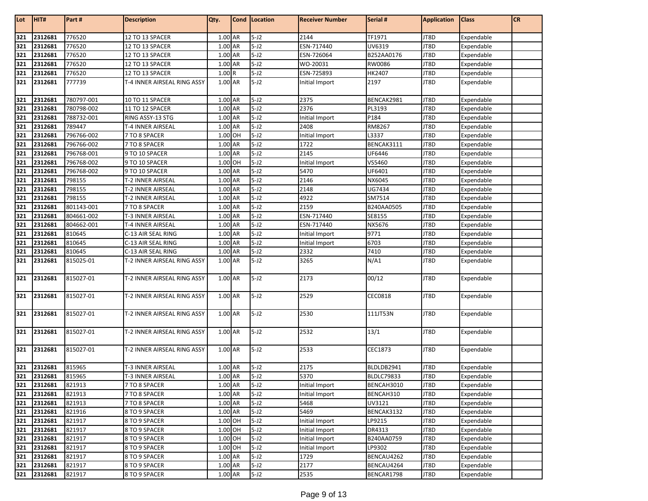| Lot | HIT#        | Part#      | <b>Description</b>          | Qty.      | Cond | Location | <b>Receiver Number</b> | Serial #          | <b>Application</b> | <b>Class</b> | <b>CR</b> |
|-----|-------------|------------|-----------------------------|-----------|------|----------|------------------------|-------------------|--------------------|--------------|-----------|
| 321 | 2312681     | 776520     | 12 TO 13 SPACER             | 1.00 AR   |      | $5 - J2$ | 2144                   | TF1971            | JT8D               | Expendable   |           |
| 321 | 2312681     | 776520     | 12 TO 13 SPACER             | 1.00 AR   |      | $5 - J2$ | ESN-717440             | UV6319            | JT8D               | Expendable   |           |
| 321 | 2312681     | 776520     | 12 TO 13 SPACER             | 1.00 AR   |      | $5 - J2$ | ESN-726064             | B252AA0176        | JT8D               | Expendable   |           |
| 321 | 2312681     | 776520     | 12 TO 13 SPACER             | 1.00 AR   |      | $5-J2$   | WO-20031               | RW0086            | JT8D               | Expendable   |           |
| 321 | 2312681     | 776520     | 12 TO 13 SPACER             | 1.00R     |      | $5 - J2$ | ESN-725893             | HK2407            | JT8D               | Expendable   |           |
| 321 | 2312681     | 777739     | T-4 INNER AIRSEAL RING ASSY | 1.00 AR   |      | $5-J2$   | Initial Import         | 2197              | JT8D               | Expendable   |           |
| 321 | 2312681     | 780797-001 | 10 TO 11 SPACER             | 1.00 AR   |      | $5 - J2$ | 2375                   | BENCAK2981        | JT8D               | Expendable   |           |
| 321 | 2312681     | 780798-002 | 11 TO 12 SPACER             | 1.00 AR   |      | $5-J2$   | 2376                   | PL3193            | JT8D               | Expendable   |           |
| 321 | 2312681     | 788732-001 | RING ASSY-13 STG            | 1.00 AR   |      | $5-J2$   | Initial Import         | P184              | JT8D               | Expendable   |           |
| 321 | 2312681     | 789447     | T-4 INNER AIRSEAL           | 1.00 AR   |      | $5-J2$   | 2408                   | RM8267            | JT8D               | Expendable   |           |
| 321 | 2312681     | 796766-002 | 7 TO 8 SPACER               | 1.00 OH   |      | $5 - J2$ | Initial Import         | L3337             | JT8D               | Expendable   |           |
| 321 | 2312681     | 796766-002 | 7 TO 8 SPACER               | 1.00 AR   |      | $5 - J2$ | 1722                   | BENCAK3111        | JT8D               | Expendable   |           |
| 321 | 2312681     | 796768-001 | 9 TO 10 SPACER              | 1.00 AR   |      | $5 - J2$ | 2145                   | UF6446            | JT8D               | Expendable   |           |
| 321 | 2312681     | 796768-002 | 9 TO 10 SPACER              | 1.00 OH   |      | $5-J2$   | Initial Import         | VS5460            | JT8D               | Expendable   |           |
| 321 | 2312681     | 796768-002 | 9 TO 10 SPACER              | 1.00 AR   |      | $5 - J2$ | 5470                   | UF6401            | JT8D               | Expendable   |           |
| 321 | 2312681     | 798155     | T-2 INNER AIRSEAL           | 1.00 AR   |      | $5-J2$   | 2146                   | NX6045            | JT8D               | Expendable   |           |
| 321 | 2312681     | 798155     | T-2 INNER AIRSEAL           | 1.00 AR   |      | $5-J2$   | 2148                   | UG7434            | JT8D               | Expendable   |           |
| 321 | 2312681     | 798155     | T-2 INNER AIRSEAL           | 1.00 AR   |      | $5 - J2$ | 4922                   | SM7514            | JT8D               | Expendable   |           |
| 321 | 2312681     | 801143-001 | 7 TO 8 SPACER               | 1.00 AR   |      | $5 - J2$ | 2159                   | B240AA0505        | JT8D               | Expendable   |           |
| 321 | 2312681     | 804661-002 | <b>T-3 INNER AIRSEAL</b>    | 1.00 AR   |      | $5 - J2$ | ESN-717440             | SE8155            | JT8D               | Expendable   |           |
| 321 | 2312681     | 804662-001 | T-4 INNER AIRSEAL           | 1.00 AR   |      | $5-J2$   | ESN-717440             | NX5676            | JT8D               | Expendable   |           |
| 321 | 2312681     | 810645     | C-13 AIR SEAL RING          | 1.00 AR   |      | $5-J2$   | Initial Import         | 9771              | JT8D               | Expendable   |           |
| 321 | 2312681     | 810645     | C-13 AIR SEAL RING          | 1.00 AR   |      | $5 - J2$ | Initial Import         | 6703              | JT8D               | Expendable   |           |
| 321 | 2312681     | 810645     | C-13 AIR SEAL RING          | 1.00 AR   |      | $5 - J2$ | 2332                   | 7410              | JT8D               | Expendable   |           |
| 321 | 2312681     | 815025-01  | T-2 INNER AIRSEAL RING ASSY | 1.00 AR   |      | $5 - J2$ | 3265                   | N/A1              | JT8D               | Expendable   |           |
| 321 | 2312681     | 815027-01  | T-2 INNER AIRSEAL RING ASSY | 1.00 AR   |      | $5 - J2$ | 2173                   | 00/12             | JT8D               | Expendable   |           |
| 321 | 2312681     | 815027-01  | T-2 INNER AIRSEAL RING ASSY | 1.00 AR   |      | $5-J2$   | 2529                   | CEC0818           | JT8D               | Expendable   |           |
| 321 | 2312681     | 815027-01  | T-2 INNER AIRSEAL RING ASSY | 1.00 AR   |      | $5 - J2$ | 2530                   | 111JT53N          | JT8D               | Expendable   |           |
| 321 | 2312681     | 815027-01  | T-2 INNER AIRSEAL RING ASSY | 1.00 AR   |      | $5-J2$   | 2532                   | 13/1              | JT8D               | Expendable   |           |
| 321 | 2312681     | 815027-01  | T-2 INNER AIRSEAL RING ASSY | 1.00 AR   |      | $5-J2$   | 2533                   | CEC1873           | JT8D               | Expendable   |           |
| 321 | 2312681     | 815965     | T-3 INNER AIRSEAL           | 1.00 AR   |      | $5-J2$   | 2175                   | BLDLDB2941        | JT8D               | Expendable   |           |
| 321 | 2312681     | 815965     | T-3 INNER AIRSEAL           | 1.00 AR   |      | $5-J2$   | 5370                   | <b>BLDLC79833</b> | JT8D               | Expendable   |           |
|     | 321 2312681 | 821913     | 7 TO 8 SPACER               | 1.00 AR   |      | $5 - J2$ | Initial Import         | BENCAH3010        | JT8D               | Expendable   |           |
| 321 | 2312681     | 821913     | 7 TO 8 SPACER               | 1.00 AR   |      | $5 - J2$ | Initial Import         | BENCAH310         | JT8D               | Expendable   |           |
| 321 | 2312681     | 821913     | 7 TO 8 SPACER               | $1.00$ AR |      | $5 - J2$ | 5468                   | UV3121            | JT8D               | Expendable   |           |
| 321 | 2312681     | 821916     | 8 TO 9 SPACER               | 1.00 AR   |      | $5-J2$   | 5469                   | BENCAK3132        | JT8D               | Expendable   |           |
| 321 | 2312681     | 821917     | 8 TO 9 SPACER               | 1.00 OH   |      | $5-J2$   | Initial Import         | LP9215            | JT8D               | Expendable   |           |
| 321 | 2312681     | 821917     | 8 TO 9 SPACER               | 1.00 OH   |      | $5-J2$   | Initial Import         | DR4313            | JT8D               | Expendable   |           |
| 321 | 2312681     | 821917     | 8 TO 9 SPACER               | 1.00 OH   |      | $5-J2$   | Initial Import         | B240AA0759        | JT8D               | Expendable   |           |
| 321 | 2312681     | 821917     | 8 TO 9 SPACER               | 1.00 OH   |      | $5 - J2$ | Initial Import         | LP9302            | JT8D               | Expendable   |           |
| 321 | 2312681     | 821917     | 8 TO 9 SPACER               | 1.00 AR   |      | $5-J2$   | 1729                   | BENCAU4262        | JT8D               | Expendable   |           |
| 321 | 2312681     | 821917     | 8 TO 9 SPACER               | 1.00 AR   |      | $5-J2$   | 2177                   | BENCAU4264        | JT8D               | Expendable   |           |
|     | 321 2312681 | 821917     | 8 TO 9 SPACER               | 1.00 AR   |      | $5 - J2$ | 2535                   | BENCAR1798        | JT8D               | Expendable   |           |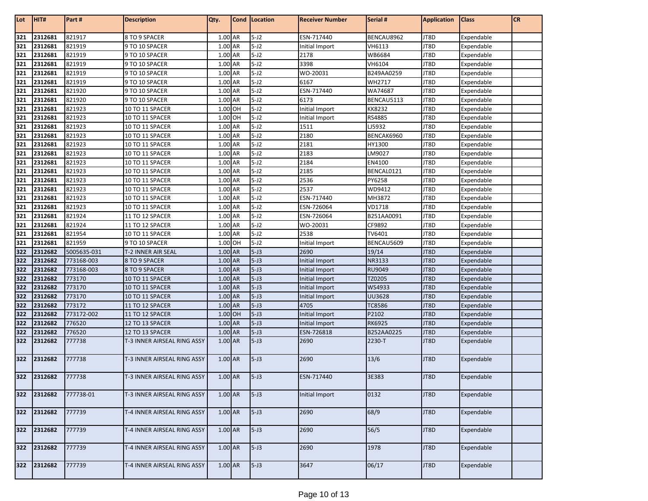| Lot        | HIT#               | Part#                 | <b>Description</b>                  | Qty.               | Cond      | Location           | <b>Receiver Number</b> | Serial #            | <b>Application</b> | <b>Class</b>             | <b>CR</b> |
|------------|--------------------|-----------------------|-------------------------------------|--------------------|-----------|--------------------|------------------------|---------------------|--------------------|--------------------------|-----------|
| 321        | 2312681            | 821917                | 8 TO 9 SPACER                       | 1.00 AR            |           | $5-J2$             | ESN-717440             | BENCAU8962          | JT8D               | Expendable               |           |
| 321        | 2312681            | 821919                | 9 TO 10 SPACER                      | 1.00 AR            |           | $5-J2$             | Initial Import         | VH6113              | JT8D               | Expendable               |           |
| 321        | 2312681            | 821919                | 9 TO 10 SPACER                      | 1.00 AR            |           | $5-J2$             | 2178                   | WB6684              | JT8D               | Expendable               |           |
| 321        | 2312681            | 821919                | 9 TO 10 SPACER                      | 1.00 AR            |           | $5-J2$             | 3398                   | VH6104              | JT8D               | Expendable               |           |
| 321        | 2312681            | 821919                | 9 TO 10 SPACER                      | 1.00 AR            |           | $5-J2$             | WO-20031               | B249AA0259          | JT8D               | Expendable               |           |
| 321        | 2312681            | 821919                | 9 TO 10 SPACER                      | 1.00 AR            |           | $5-J2$             | 6167                   | WH2717              | JT8D               | Expendable               |           |
| 321        | 2312681            | 821920                | 9 TO 10 SPACER                      | 1.00 AR            |           | $5-J2$             | ESN-717440             | WA74687             | JT8D               | Expendable               |           |
| 321        | 2312681            | 821920                | 9 TO 10 SPACER                      | 1.00               | AR        | $5-J2$             | 6173                   | BENCAU5113          | JT8D               | Expendable               |           |
| 321        | 2312681            | 821923                | 10 TO 11 SPACER                     | 1.00 OH            |           | $5-J2$             | Initial Import         | KK8232              | JT8D               | Expendable               |           |
| 321        | 2312681            | 821923                | 10 TO 11 SPACER                     | 1.00 OH            |           | $5-J2$             | Initial Import         | RS4885              | JT8D               | Expendable               |           |
| 321        | 2312681            | 821923                | 10 TO 11 SPACER                     | 1.00 AR            |           | $5-J2$             | 1511                   | LJ5932              | JT8D               | Expendable               |           |
| 321        | 2312681            | 821923                | 10 TO 11 SPACER                     | 1.00 AR            |           | $5-J2$             | 2180                   | BENCAK6960          | JT8D               | Expendable               |           |
| 321        | 2312681            | 821923                | 10 TO 11 SPACER                     | 1.00 AR            |           | $5-J2$             | 2181                   | HY1300              | JT8D               | Expendable               |           |
| 321        | 2312681            | 821923                | 10 TO 11 SPACER                     | 1.00               | <b>AR</b> | $5-J2$             | 2183                   | LM9027              | JT8D               | Expendable               |           |
| 321        | 2312681            | 821923                | 10 TO 11 SPACER                     | 1.00 AR            |           | $5-J2$             | 2184                   | EN4100              | JT8D               | Expendable               |           |
| 321        | 2312681            | 821923                | 10 TO 11 SPACER                     | 1.00 AR            |           | $5-J2$             | 2185                   | BENCAL0121          | JT8D               | Expendable               |           |
| 321        | 2312681            | 821923                | 10 TO 11 SPACER                     | 1.00 AR            |           | $5-J2$             | 2536                   | PY6258              | JT8D               | Expendable               |           |
| 321        | 2312681            | 821923                | 10 TO 11 SPACER                     | 1.00 AR            |           | $5-J2$             | 2537                   | WD9412              | JT8D               | Expendable               |           |
| 321        | 2312681            | 821923                | 10 TO 11 SPACER                     | 1.00               | AR        | $5-J2$             | ESN-717440             | MH3872              | JT8D               | Expendable               |           |
| 321        | 2312681            | 821923                | 10 TO 11 SPACER                     | 1.00 AR            |           | $5-J2$             | ESN-726064             | VD1718              | JT8D               | Expendable               |           |
| 321        | 2312681            | 821924                | 11 TO 12 SPACER                     | 1.00 AR            |           | $5-J2$             | ESN-726064             | B251AA0091          | JT8D               | Expendable               |           |
| 321        | 2312681            | 821924                | 11 TO 12 SPACER                     | 1.00 AR            |           | $5-J2$             | WO-20031               | CF9892              | JT8D               | Expendable               |           |
| 321        | 2312681            | 821954                | 10 TO 11 SPACER                     | 1.00 AR<br>1.00 OH |           | $5-J2$             | 2538                   | TV6401              | JT8D               | Expendable               |           |
| 321<br>322 | 2312681<br>2312682 | 821959<br>5005635-031 | 9 TO 10 SPACER                      | 1.00 AR            |           | $5-J2$<br>$5 - J3$ | Initial Import<br>2690 | BENCAU5609<br>19/14 | JT8D<br>JT8D       | Expendable               |           |
| 322        | 2312682            | 773168-003            | T-2 INNER AIR SEAL<br>8 TO 9 SPACER | 1.00 AR            |           | $5 - J3$           | Initial Import         | NR3133              | JT8D               | Expendable<br>Expendable |           |
| 322        | 2312682            | 773168-003            | 8 TO 9 SPACER                       | 1.00 AR            |           | $5 - J3$           | Initial Import         | RU9049              | JT8D               | Expendable               |           |
| 322        | 2312682            | 773170                | 10 TO 11 SPACER                     | 1.00 AR            |           | $5 - J3$           | Initial Import         | TZ0205              | JT8D               | Expendable               |           |
| 322        | 2312682            | 773170                | 10 TO 11 SPACER                     | 1.00 AR            |           | $5 - J3$           | Initial Import         | WS4933              | JT8D               | Expendable               |           |
| 322        | 2312682            | 773170                | 10 TO 11 SPACER                     | 1.00 AR            |           | $5 - J3$           | Initial Import         | <b>UU3628</b>       | JT8D               | Expendable               |           |
| 322        | 2312682            | 773172                | 11 TO 12 SPACER                     | 1.00 AR            |           | $5 - J3$           | 4705                   | <b>TC8586</b>       | JT8D               | Expendable               |           |
| 322        | 2312682            | 773172-002            | 11 TO 12 SPACER                     | 1.00 OH            |           | $5 - J3$           | Initial Import         | P2102               | JT8D               | Expendable               |           |
| 322        | 2312682            | 776520                | 12 TO 13 SPACER                     | 1.00 AR            |           | $5 - J3$           | Initial Import         | <b>RK6925</b>       | JT8D               | Expendable               |           |
| 322        | 2312682            | 776520                | 12 TO 13 SPACER                     | 1.00 AR            |           | $5 - J3$           | ESN-726818             | B252AA0225          | JT8D               | Expendable               |           |
| 322        | 2312682            | 777738                | T-3 INNER AIRSEAL RING ASSY         | 1.00 AR            |           | $5 - J3$           | 2690                   | 2230-T              | JT8D               | Expendable               |           |
| 322        | 2312682            | 777738                | T-3 INNER AIRSEAL RING ASSY         | 1.00 AR            |           | $5 - J3$           | 2690                   | 13/6                | JT8D               | Expendable               |           |
| 322        | 2312682            | 777738                | T-3 INNER AIRSEAL RING ASSY         | $1.00$ AR          |           | $5 - J3$           | ESN-717440             | 3E383               | JT8D               | Expendable               |           |
| 322        | 2312682            | 777738-01             | T-3 INNER AIRSEAL RING ASSY         | 1.00 AR            |           | $5 - J3$           | Initial Import         | 0132                | JT8D               | Expendable               |           |
| 322        | 2312682            | 777739                | T-4 INNER AIRSEAL RING ASSY         | 1.00 AR            |           | $5-J3$             | 2690                   | 68/9                | JT8D               | Expendable               |           |
| 322        | 2312682            | 777739                | T-4 INNER AIRSEAL RING ASSY         | 1.00 AR            |           | $5 - J3$           | 2690                   | 56/5                | JT8D               | Expendable               |           |
| 322        | 2312682            | 777739                | T-4 INNER AIRSEAL RING ASSY         | 1.00 AR            |           | $5-J3$             | 2690                   | 1978                | JT8D               | Expendable               |           |
| 322        | 2312682            | 777739                | T-4 INNER AIRSEAL RING ASSY         | 1.00 AR            |           | $5 - J3$           | 3647                   | 06/17               | JT8D               | Expendable               |           |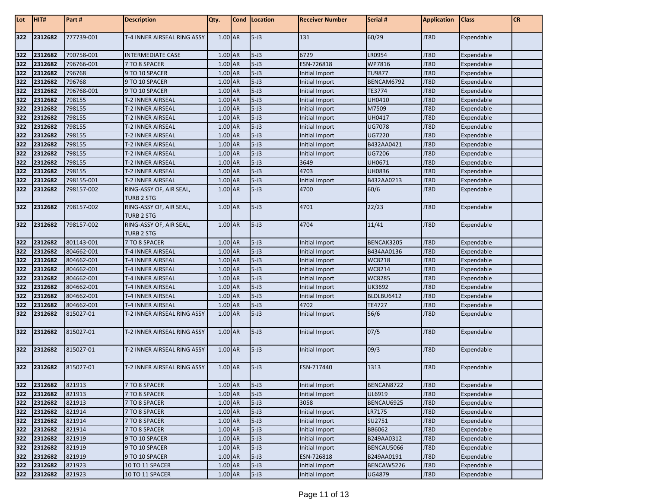| Lot   | HIT#        | Part #     | <b>Description</b>          | Qty.      | Cond Location | <b>Receiver Number</b> | Serial #      | <b>Application</b> | <b>Class</b> | <b>CR</b> |
|-------|-------------|------------|-----------------------------|-----------|---------------|------------------------|---------------|--------------------|--------------|-----------|
| 322   | 2312682     | 777739-001 | T-4 INNER AIRSEAL RING ASSY | 1.00 AR   | $5 - J3$      | 131                    | 60/29         | JT8D               | Expendable   |           |
| 322   | 2312682     | 790758-001 | INTERMEDIATE CASE           | 1.00 AR   | $5 - J3$      | 6729                   | LR0954        | JT8D               | Expendable   |           |
| 322   | 2312682     | 796766-001 | 7 TO 8 SPACER               | 1.00 AR   | $5 - J3$      | ESN-726818             | WP7816        | JT8D               | Expendable   |           |
| 322   | 2312682     | 796768     | 9 TO 10 SPACER              | 1.00 AR   | $5 - J3$      | Initial Import         | <b>TU9877</b> | JT8D               | Expendable   |           |
| 322   | 2312682     | 796768     | 9 TO 10 SPACER              | 1.00 AR   | $5 - J3$      | Initial Import         | BENCAM6792    | JT8D               | Expendable   |           |
| 322   | 2312682     | 796768-001 | 9 TO 10 SPACER              | 1.00 AR   | $5 - J3$      | <b>Initial Import</b>  | TE3774        | JT8D               | Expendable   |           |
| 322   | 2312682     | 798155     | T-2 INNER AIRSEAL           | 1.00 AR   | $5 - J3$      | Initial Import         | UH0410        | JT8D               | Expendable   |           |
| 322   | 2312682     | 798155     | T-2 INNER AIRSEAL           | 1.00 AR   | $5 - J3$      | Initial Import         | M7509         | JT8D               | Expendable   |           |
| 322   | 2312682     | 798155     | T-2 INNER AIRSEAL           | $1.00$ AR | $5 - J3$      | Initial Import         | UH0417        | JT8D               | Expendable   |           |
| 322   | 2312682     | 798155     | <b>T-2 INNER AIRSEAL</b>    | 1.00 AR   | $5 - J3$      | Initial Import         | UG7078        | JT8D               | Expendable   |           |
| 322   | 2312682     | 798155     | T-2 INNER AIRSEAL           | 1.00 AR   | $5 - J3$      | Initial Import         | <b>UG7220</b> | JT8D               | Expendable   |           |
| 322   | 2312682     | 798155     | T-2 INNER AIRSEAL           | 1.00 AR   | $5 - J3$      | Initial Import         | B432AA0421    | JT8D               | Expendable   |           |
| 322   | 2312682     | 798155     | T-2 INNER AIRSEAL           | 1.00 AR   | $5 - J3$      | Initial Import         | UG7206        | JT8D               | Expendable   |           |
| 322   | 2312682     | 798155     | T-2 INNER AIRSEAL           | 1.00 AR   | $5 - J3$      | 3649                   | UH0671        | JT8D               | Expendable   |           |
| 322   | 2312682     | 798155     | T-2 INNER AIRSEAL           | 1.00 AR   | $5 - J3$      | 4703                   | <b>UH0836</b> | JT8D               | Expendable   |           |
| 322   | 2312682     | 798155-001 | T-2 INNER AIRSEAL           | 1.00 AR   | $5 - J3$      | Initial Import         | B432AA0213    | JT8D               | Expendable   |           |
| 322   | 2312682     | 798157-002 | RING-ASSY OF, AIR SEAL,     | 1.00 AR   | $5 - J3$      | 4700                   | 60/6          | JT8D               | Expendable   |           |
|       |             |            | <b>TURB 2 STG</b>           |           |               |                        |               |                    |              |           |
| 322   | 2312682     | 798157-002 | RING-ASSY OF, AIR SEAL,     | 1.00 AR   | $5 - J3$      | 4701                   | 22/23         | JT8D               | Expendable   |           |
|       |             |            | TURB 2 STG                  |           |               |                        |               |                    |              |           |
| 322   | 2312682     | 798157-002 | RING-ASSY OF, AIR SEAL,     | 1.00 AR   | $5 - J3$      | 4704                   | 11/41         | JT8D               | Expendable   |           |
|       |             |            | <b>TURB 2 STG</b>           |           |               |                        |               |                    |              |           |
| 322   | 2312682     | 801143-001 | 7 TO 8 SPACER               | 1.00 AR   | $5 - J3$      | Initial Import         | BENCAK3205    | JT8D               | Expendable   |           |
| 322   | 2312682     | 804662-001 | T-4 INNER AIRSEAL           | 1.00 AR   | $5 - J3$      | Initial Import         | B434AA0136    | JT8D               | Expendable   |           |
| 322   | 2312682     | 804662-001 | T-4 INNER AIRSEAL           | 1.00 AR   | $5 - J3$      | Initial Import         | WC8218        | JT8D               | Expendable   |           |
| 322   | 2312682     | 804662-001 | T-4 INNER AIRSEAL           | 1.00 AR   | $5 - J3$      | <b>Initial Import</b>  | WC8214        | JT8D               | Expendable   |           |
| 322   | 2312682     | 804662-001 | T-4 INNER AIRSEAL           | 1.00 AR   | $5 - J3$      | Initial Import         | WC8285        | JT8D               | Expendable   |           |
| 322   | 2312682     | 804662-001 | T-4 INNER AIRSEAL           | 1.00 AR   | $5 - J3$      | Initial Import         | UK3692        | JT8D               | Expendable   |           |
| 322   | 2312682     | 804662-001 | T-4 INNER AIRSEAL           | 1.00 AR   | $5 - J3$      | Initial Import         | BLDLBU6412    | JT8D               | Expendable   |           |
| 322   | 2312682     | 804662-001 | T-4 INNER AIRSEAL           | 1.00 AR   | $5 - J3$      | 4702                   | <b>TE4727</b> | JT8D               | Expendable   |           |
| 322   | 2312682     | 815027-01  | T-2 INNER AIRSEAL RING ASSY | 1.00 AR   | $5 - J3$      | Initial Import         | 56/6          | JT8D               | Expendable   |           |
| 322   | 2312682     | 815027-01  | T-2 INNER AIRSEAL RING ASSY | 1.00 AR   | $5 - J3$      | Initial Import         | 07/5          | JT8D               | Expendable   |           |
| 322   | 2312682     | 815027-01  | T-2 INNER AIRSEAL RING ASSY | 1.00 AR   | $5 - J3$      | Initial Import         | 09/3          | JT8D               | Expendable   |           |
| 322   | 2312682     | 815027-01  | T-2 INNER AIRSEAL RING ASSY | 1.00 AR   | $5 - J3$      | ESN-717440             | 1313          | JT8D               | Expendable   |           |
|       | 322 2312682 | 821913     | 7 TO 8 SPACER               | 1.00 AR   | $5 - J3$      | Initial Import         | BENCAN8722    | JT8D               | Expendable   |           |
| 322   | 2312682     | 821913     | 7 TO 8 SPACER               | 1.00 AR   | $5 - J3$      | Initial Import         | UL6919        | JT8D               | Expendable   |           |
|       | 322 2312682 | 821913     | 7 TO 8 SPACER               | $1.00$ AR | $5 - J3$      | 3058                   | BENCAU6925    | JT8D               | Expendable   |           |
| 322   | 2312682     | 821914     | 7 TO 8 SPACER               | 1.00 AR   | $5 - J3$      | Initial Import         | LR7175        | JT8D               | Expendable   |           |
| 322   | 2312682     | 821914     | 7 TO 8 SPACER               | 1.00 AR   | $5 - J3$      | Initial Import         | SU2751        | JT8D               | Expendable   |           |
| $322$ | 2312682     | 821914     | 7 TO 8 SPACER               | 1.00 AR   | $5 - J3$      | Initial Import         | <b>BB6062</b> | JT8D               | Expendable   |           |
| 322   | 2312682     | 821919     | 9 TO 10 SPACER              | 1.00 AR   | $5 - J3$      | Initial Import         | B249AA0312    | JT8D               | Expendable   |           |
|       | 322 2312682 | 821919     | 9 TO 10 SPACER              | 1.00 AR   | $5 - J3$      | Initial Import         | BENCAU5066    | JT8D               | Expendable   |           |
|       | 322 2312682 | 821919     | 9 TO 10 SPACER              | 1.00 AR   | $5 - J3$      | ESN-726818             | B249AA0191    | JT8D               | Expendable   |           |
|       | 322 2312682 | 821923     | 10 TO 11 SPACER             | 1.00 AR   | $5 - J3$      | Initial Import         | BENCAW5226    | JT8D               | Expendable   |           |
|       | 322 2312682 | 821923     | 10 TO 11 SPACER             | 1.00 AR   | $5 - J3$      | Initial Import         | <b>UG4879</b> | JT8D               | Expendable   |           |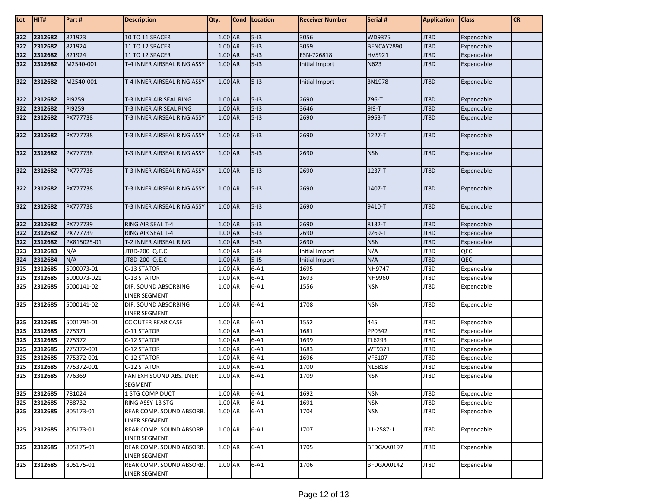| Lot | HIT#    | Part#       | <b>Description</b>                        | Qty.    | Cond   Location | <b>Receiver Number</b> | Serial #      | <b>Application</b> | <b>Class</b> | CR |
|-----|---------|-------------|-------------------------------------------|---------|-----------------|------------------------|---------------|--------------------|--------------|----|
| 322 | 2312682 | 821923      | 10 TO 11 SPACER                           | 1.00 AR | $5 - J3$        | 3056                   | WD9375        | JT8D               | Expendable   |    |
| 322 | 2312682 | 821924      | 11 TO 12 SPACER                           | 1.00 AR | $5 - J3$        | 3059                   | BENCAY2890    | JT8D               | Expendable   |    |
| 322 | 2312682 | 821924      | 11 TO 12 SPACER                           | 1.00 AR | $5 - J3$        | ESN-726818             | HV5921        | JT8D               | Expendable   |    |
| 322 | 2312682 | M2540-001   | T-4 INNER AIRSEAL RING ASSY               | 1.00 AR | $5 - J3$        | Initial Import         | N623          | JT8D               | Expendable   |    |
| 322 | 2312682 | M2540-001   | T-4 INNER AIRSEAL RING ASSY               | 1.00 AR | $5 - J3$        | Initial Import         | 3N1978        | JT8D               | Expendable   |    |
| 322 | 2312682 | PI9259      | T-3 INNER AIR SEAL RING                   | 1.00 AR | $5 - J3$        | 2690                   | 796-T         | JT8D               | Expendable   |    |
| 322 | 2312682 | PI9259      | T-3 INNER AIR SEAL RING                   | 1.00 AR | $5 - J3$        | 3646                   | 919-T         | JT8D               | Expendable   |    |
| 322 | 2312682 | PX777738    | T-3 INNER AIRSEAL RING ASSY               | 1.00 AR | $5 - J3$        | 2690                   | 9953-T        | JT8D               | Expendable   |    |
| 322 | 2312682 | PX777738    | T-3 INNER AIRSEAL RING ASSY               | 1.00 AR | $5 - J3$        | 2690                   | 1227-T        | JT8D               | Expendable   |    |
| 322 | 2312682 | PX777738    | T-3 INNER AIRSEAL RING ASSY               | 1.00 AR | $5 - J3$        | 2690                   | <b>NSN</b>    | JT8D               | Expendable   |    |
| 322 | 2312682 | PX777738    | T-3 INNER AIRSEAL RING ASSY               | 1.00 AR | $5 - J3$        | 2690                   | 1237-T        | JT8D               | Expendable   |    |
| 322 | 2312682 | PX777738    | T-3 INNER AIRSEAL RING ASSY               | 1.00 AR | $5 - J3$        | 2690                   | 1407-T        | JT8D               | Expendable   |    |
| 322 | 2312682 | PX777738    | T-3 INNER AIRSEAL RING ASSY               | 1.00 AR | $5 - J3$        | 2690                   | 9410-T        | JT8D               | Expendable   |    |
| 322 | 2312682 | PX777739    | RING AIR SEAL T-4                         | 1.00 AR | $5 - J3$        | 2690                   | 8132-T        | JT8D               | Expendable   |    |
| 322 | 2312682 | PX777739    | <b>RING AIR SEAL T-4</b>                  | 1.00 AR | $5 - J3$        | 2690                   | 9269-T        | JT8D               | Expendable   |    |
| 322 | 2312682 | PX815025-01 | T-2 INNER AIRSEAL RING                    | 1.00 AR | $5 - J3$        | 2690                   | <b>NSN</b>    | JT8D               | Expendable   |    |
| 323 | 2312683 | N/A         | JT8D-200 Q.E.C                            | 1.00 AR | $5 - J4$        | Initial Import         | N/A           | JT8D               | QEC          |    |
| 324 | 2312684 | N/A         | JT8D-200 Q.E.C                            | 1.00 AR | $5 - J5$        | Initial Import         | N/A           | JT8D               | QEC          |    |
| 325 | 2312685 | 5000073-01  | C-13 STATOR                               | 1.00 AR | $6 - A1$        | 1695                   | NH9747        | JT8D               | Expendable   |    |
| 325 | 2312685 | 5000073-021 | C-13 STATOR                               | 1.00 AR | $6 - A1$        | 1693                   | NH9960        | JT8D               | Expendable   |    |
| 325 | 2312685 | 5000141-02  | DIF. SOUND ABSORBING<br>LINER SEGMENT     | 1.00 AR | $6 - A1$        | 1556                   | <b>NSN</b>    | JT8D               | Expendable   |    |
| 325 | 2312685 | 5000141-02  | DIF. SOUND ABSORBING<br>LINER SEGMENT     | 1.00 AR | $6 - A1$        | 1708                   | <b>NSN</b>    | JT8D               | Expendable   |    |
| 325 | 2312685 | 5001791-01  | CC OUTER REAR CASE                        | 1.00 AR | $6 - A1$        | 1552                   | 445           | JT8D               | Expendable   |    |
| 325 | 2312685 | 775371      | C-11 STATOR                               | 1.00 AR | $6 - A1$        | 1681                   | PP0342        | JT8D               | Expendable   |    |
| 325 | 2312685 | 775372      | C-12 STATOR                               | 1.00 AR | $6 - A1$        | 1699                   | TL6293        | JT8D               | Expendable   |    |
| 325 | 2312685 | 775372-001  | C-12 STATOR                               | 1.00 AR | $6 - A1$        | 1683                   | WT9371        | JT8D               | Expendable   |    |
| 325 | 2312685 | 775372-001  | C-12 STATOR                               | 1.00 AR | $6 - A1$        | 1696                   | VF6107        | JT8D               | Expendable   |    |
| 325 | 2312685 | 775372-001  | C-12 STATOR                               | 1.00 AR | $6 - A1$        | 1700                   | <b>NL5818</b> | JT8D               | Expendable   |    |
| 325 | 2312685 | 776369      | FAN EXH SOUND ABS. LNER<br><b>SEGMENT</b> | 1.00 AR | $6 - A1$        | 1709                   | <b>NSN</b>    | JT8D               | Expendable   |    |
| 325 | 2312685 | 781024      | 1 STG COMP DUCT                           | 1.00 AR | $6 - A1$        | 1692                   | <b>NSN</b>    | JT8D               | Expendable   |    |
| 325 | 2312685 | 788732      | RING ASSY-13 STG                          | 1.00 AR | $6-A1$          | 1691                   | <b>NSN</b>    | JT8D               | Expendable   |    |
| 325 | 2312685 | 805173-01   | REAR COMP. SOUND ABSORB.                  | 1.00 AR | $6 - A1$        | 1704                   | <b>NSN</b>    | JT8D               | Expendable   |    |
|     |         |             | LINER SEGMENT                             |         |                 |                        |               |                    |              |    |
| 325 | 2312685 | 805173-01   | REAR COMP. SOUND ABSORB.<br>LINER SEGMENT | 1.00 AR | $6 - A1$        | 1707                   | 11-2587-1     | JT8D               | Expendable   |    |
| 325 | 2312685 | 805175-01   | REAR COMP. SOUND ABSORB.<br>LINER SEGMENT | 1.00 AR | $6 - A1$        | 1705                   | BFDGAA0197    | JT8D               | Expendable   |    |
| 325 | 2312685 | 805175-01   | REAR COMP. SOUND ABSORB.<br>LINER SEGMENT | 1.00 AR | $6 - A1$        | 1706                   | BFDGAA0142    | JT8D               | Expendable   |    |